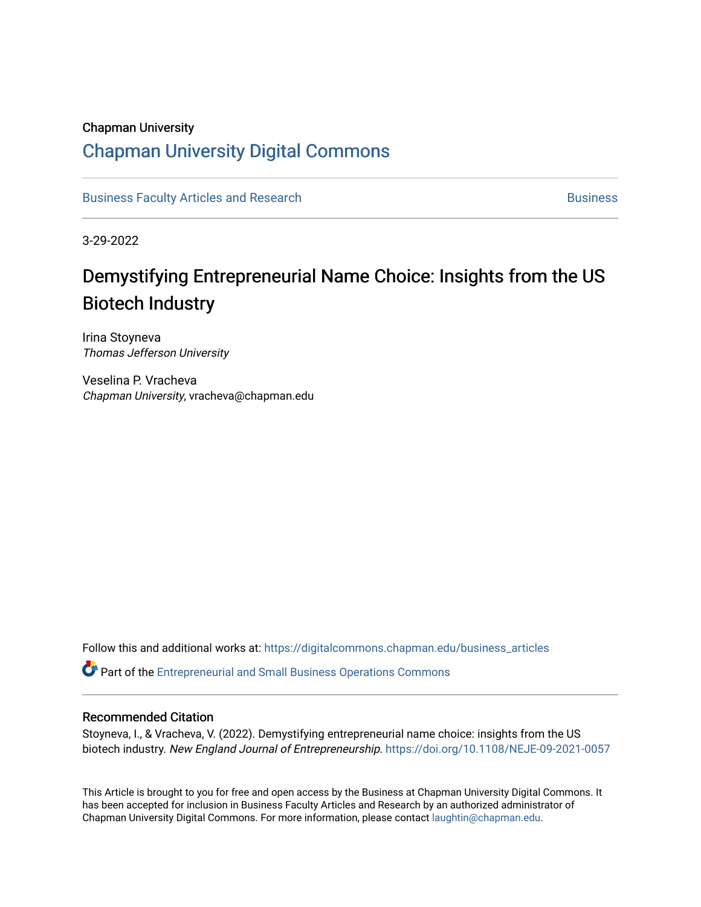## Chapman University

## [Chapman University Digital Commons](https://digitalcommons.chapman.edu/)

[Business Faculty Articles and Research](https://digitalcommons.chapman.edu/business_articles) [Business](https://digitalcommons.chapman.edu/business) **Business** Business

3-29-2022

# Demystifying Entrepreneurial Name Choice: Insights from the US Biotech Industry

Irina Stoyneva Thomas Jefferson University

Veselina P. Vracheva Chapman University, vracheva@chapman.edu

Follow this and additional works at: [https://digitalcommons.chapman.edu/business\\_articles](https://digitalcommons.chapman.edu/business_articles?utm_source=digitalcommons.chapman.edu%2Fbusiness_articles%2F136&utm_medium=PDF&utm_campaign=PDFCoverPages) 

Part of the [Entrepreneurial and Small Business Operations Commons](http://network.bepress.com/hgg/discipline/630?utm_source=digitalcommons.chapman.edu%2Fbusiness_articles%2F136&utm_medium=PDF&utm_campaign=PDFCoverPages) 

### Recommended Citation

Stoyneva, I., & Vracheva, V. (2022). Demystifying entrepreneurial name choice: insights from the US biotech industry. New England Journal of Entrepreneurship. <https://doi.org/10.1108/NEJE-09-2021-0057>

This Article is brought to you for free and open access by the Business at Chapman University Digital Commons. It has been accepted for inclusion in Business Faculty Articles and Research by an authorized administrator of Chapman University Digital Commons. For more information, please contact [laughtin@chapman.edu](mailto:laughtin@chapman.edu).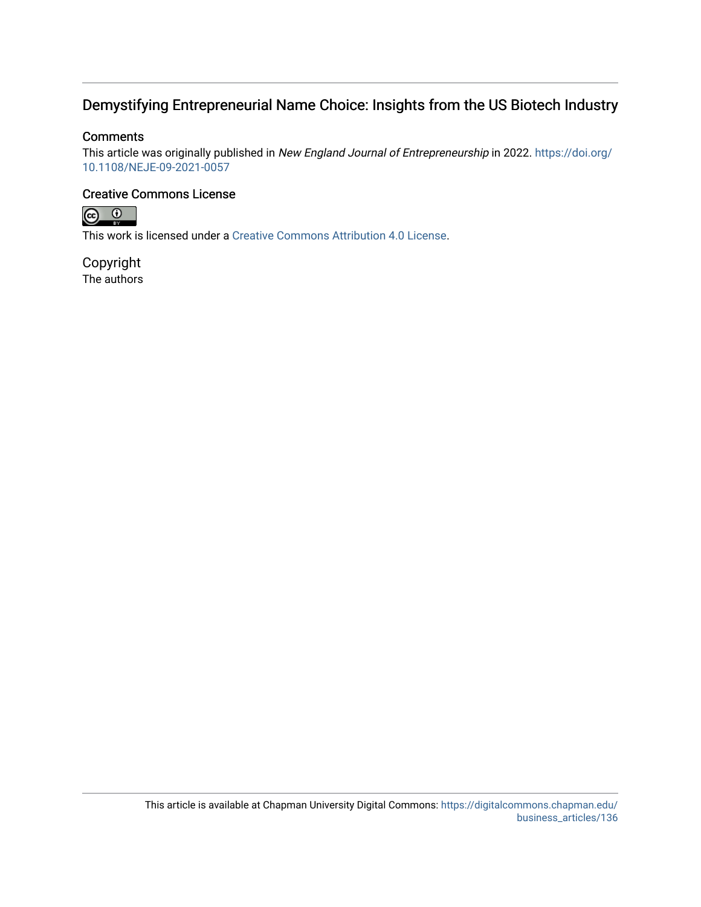## Demystifying Entrepreneurial Name Choice: Insights from the US Biotech Industry

### **Comments**

This article was originally published in New England Journal of Entrepreneurship in 2022. [https://doi.org/](https://doi.org/10.1108/NEJE-09-2021-0057) [10.1108/NEJE-09-2021-0057](https://doi.org/10.1108/NEJE-09-2021-0057) 

## Creative Commons License



This work is licensed under a [Creative Commons Attribution 4.0 License](https://creativecommons.org/licenses/by/4.0/).

Copyright The authors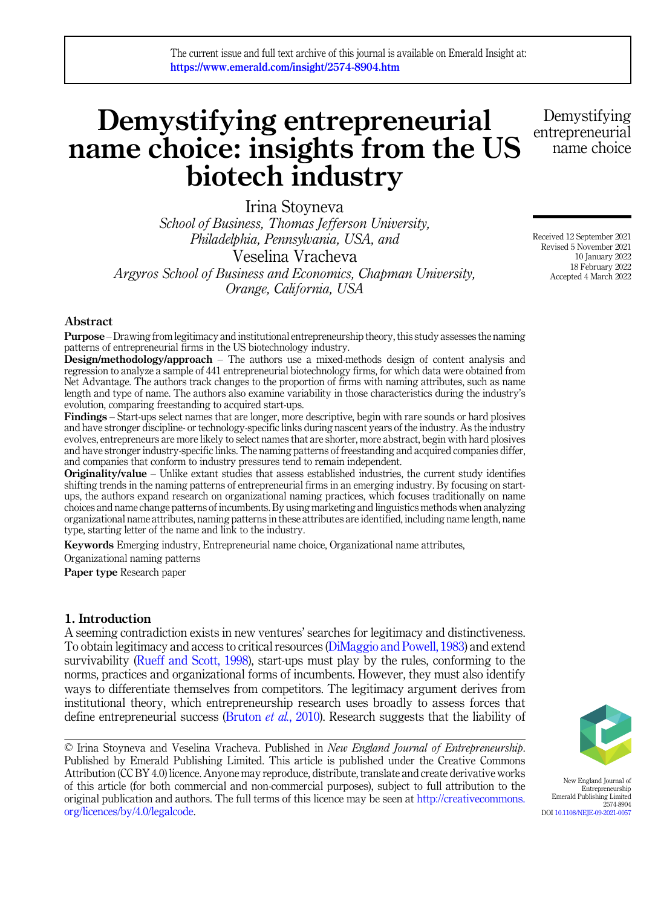# Demystifying entrepreneurial name choice: insights from the US biotech industry

Irina Stoyneva School of Business, Thomas Jefferson University, Philadelphia, Pennsylvania, USA, and Veselina Vracheva Argyros School of Business and Economics, Chapman University, Orange, California, USA

#### Abstract

Purpose –Drawing from legitimacy and institutional entrepreneurship theory, this study assesses the naming patterns of entrepreneurial firms in the US biotechnology industry.

Design/methodology/approach – The authors use a mixed-methods design of content analysis and regression to analyze a sample of 441 entrepreneurial biotechnology firms, for which data were obtained from Net Advantage. The authors track changes to the proportion of firms with naming attributes, such as name length and type of name. The authors also examine variability in those characteristics during the industry's evolution, comparing freestanding to acquired start-ups.

Findings – Start-ups select names that are longer, more descriptive, begin with rare sounds or hard plosives and have stronger discipline- or technology-specific links during nascent years of the industry. As the industry evolves, entrepreneurs are more likely to select names that are shorter, more abstract, begin with hard plosives and have stronger industry-specific links. The naming patterns of freestanding and acquired companies differ, and companies that conform to industry pressures tend to remain independent.

**Originality/value** – Unlike extant studies that assess established industries, the current study identifies shifting trends in the naming patterns of entrepreneurial firms in an emerging industry. By focusing on startups, the authors expand research on organizational naming practices, which focuses traditionally on name choices and name change patterns of incumbents. By using marketing and linguistics methods when analyzing organizational name attributes, naming patterns in these attributes are identified, including name length, name type, starting letter of the name and link to the industry.

Keywords Emerging industry, Entrepreneurial name choice, Organizational name attributes,

Organizational naming patterns

Paper type Research paper

#### 1. Introduction

A seeming contradiction exists in new ventures' searches for legitimacy and distinctiveness. To obtain legitimacy and access to critical resources [\(DiMaggio and Powell, 1983](#page-21-0)) and extend survivability ([Rueff and Scott, 1998](#page-23-0)), start-ups must play by the rules, conforming to the norms, practices and organizational forms of incumbents. However, they must also identify ways to differentiate themselves from competitors. The legitimacy argument derives from institutional theory, which entrepreneurship research uses broadly to assess forces that define entrepreneurial success [\(Bruton](#page-20-0) et al., 2010). Research suggests that the liability of

© Irina Stoyneva and Veselina Vracheva. Published in New England Journal of Entrepreneurship. Published by Emerald Publishing Limited. This article is published under the Creative Commons Attribution (CC BY 4.0) licence. Anyone may reproduce, distribute, translate and create derivative works of this article (for both commercial and non-commercial purposes), subject to full attribution to the original publication and authors. The full terms of this licence may be seen at [http://creativecommons.](http://creativecommons.org/licences/by/4.0/legalcode) [org/licences/by/4.0/legalcode](http://creativecommons.org/licences/by/4.0/legalcode).

New England Journal of Entrepreneurship Emerald Publishing Limited 2574-8904 DOI [10.1108/NEJE-09-2021-0057](https://doi.org/10.1108/NEJE-09-2021-0057)

Received 12 September 2021 Revised 5 November 2021 10 January 2022 18 February 2022 Accepted 4 March 2022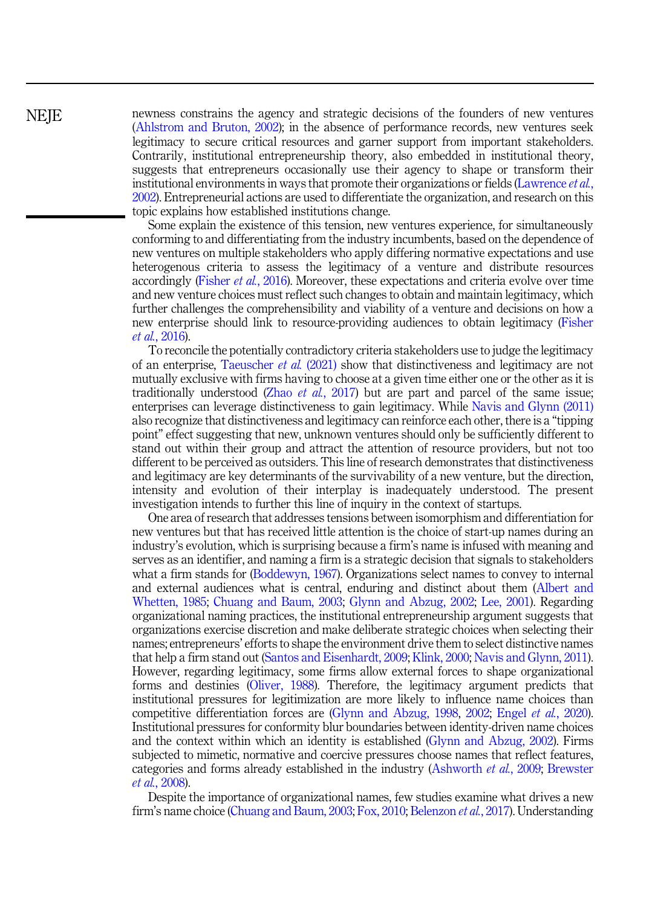## **NEIE**

newness constrains the agency and strategic decisions of the founders of new ventures ([Ahlstrom and Bruton, 2002\)](#page-19-0); in the absence of performance records, new ventures seek legitimacy to secure critical resources and garner support from important stakeholders. Contrarily, institutional entrepreneurship theory, also embedded in institutional theory, suggests that entrepreneurs occasionally use their agency to shape or transform their institutional environments in ways that promote their organizations or fields [\(Lawrence](#page-22-0) *et al.*, [2002\)](#page-22-0). Entrepreneurial actions are used to differentiate the organization, and research on this topic explains how established institutions change.

Some explain the existence of this tension, new ventures experience, for simultaneously conforming to and differentiating from the industry incumbents, based on the dependence of new ventures on multiple stakeholders who apply differing normative expectations and use heterogenous criteria to assess the legitimacy of a venture and distribute resources accordingly ([Fisher](#page-21-0) *et al.*, 2016). Moreover, these expectations and criteria evolve over time and new venture choices must reflect such changes to obtain and maintain legitimacy, which further challenges the comprehensibility and viability of a venture and decisions on how a new enterprise should link to resource-providing audiences to obtain legitimacy ([Fisher](#page-21-0) et al.[, 2016\)](#page-21-0).

To reconcile the potentially contradictory criteria stakeholders use to judge the legitimacy of an enterprise, [Taeuscher](#page-24-0) et al. (2021) show that distinctiveness and legitimacy are not mutually exclusive with firms having to choose at a given time either one or the other as it is traditionally understood (Zhao *et al.*[, 2017\)](#page-24-0) but are part and parcel of the same issue; enterprises can leverage distinctiveness to gain legitimacy. While [Navis and Glynn \(2011\)](#page-23-0) also recognize that distinctiveness and legitimacy can reinforce each other, there is a "tipping point" effect suggesting that new, unknown ventures should only be sufficiently different to stand out within their group and attract the attention of resource providers, but not too different to be perceived as outsiders. This line of research demonstrates that distinctiveness and legitimacy are key determinants of the survivability of a new venture, but the direction, intensity and evolution of their interplay is inadequately understood. The present investigation intends to further this line of inquiry in the context of startups.

One area of research that addresses tensions between isomorphism and differentiation for new ventures but that has received little attention is the choice of start-up names during an industry's evolution, which is surprising because a firm's name is infused with meaning and serves as an identifier, and naming a firm is a strategic decision that signals to stakeholders what a firm stands for ([Boddewyn, 1967\)](#page-20-0). Organizations select names to convey to internal and external audiences what is central, enduring and distinct about them [\(Albert and](#page-19-0) [Whetten, 1985;](#page-19-0) [Chuang and Baum, 2003;](#page-21-0) [Glynn and Abzug, 2002;](#page-22-0) [Lee, 2001](#page-22-0)). Regarding organizational naming practices, the institutional entrepreneurship argument suggests that organizations exercise discretion and make deliberate strategic choices when selecting their names; entrepreneurs' efforts to shape the environment drive them to select distinctive names that help a firm stand out ([Santos and Eisenhardt, 2009;](#page-23-0) [Klink, 2000;](#page-22-0) [Navis and Glynn, 2011\)](#page-23-0). However, regarding legitimacy, some firms allow external forces to shape organizational forms and destinies [\(Oliver, 1988\)](#page-23-0). Therefore, the legitimacy argument predicts that institutional pressures for legitimization are more likely to influence name choices than competitive differentiation forces are [\(Glynn and Abzug, 1998,](#page-22-0) [2002](#page-22-0); Engel et al.[, 2020\)](#page-21-0). Institutional pressures for conformity blur boundaries between identity-driven name choices and the context within which an identity is established ([Glynn and Abzug, 2002\)](#page-22-0). Firms subjected to mimetic, normative and coercive pressures choose names that reflect features, categories and forms already established in the industry ([Ashworth](#page-20-0) et al., 2009; [Brewster](#page-20-0) et al.[, 2008\)](#page-20-0).

Despite the importance of organizational names, few studies examine what drives a new firm's name choice ([Chuang and Baum, 2003](#page-21-0); [Fox, 2010](#page-21-0); [Belenzon](#page-20-0) et al., 2017). Understanding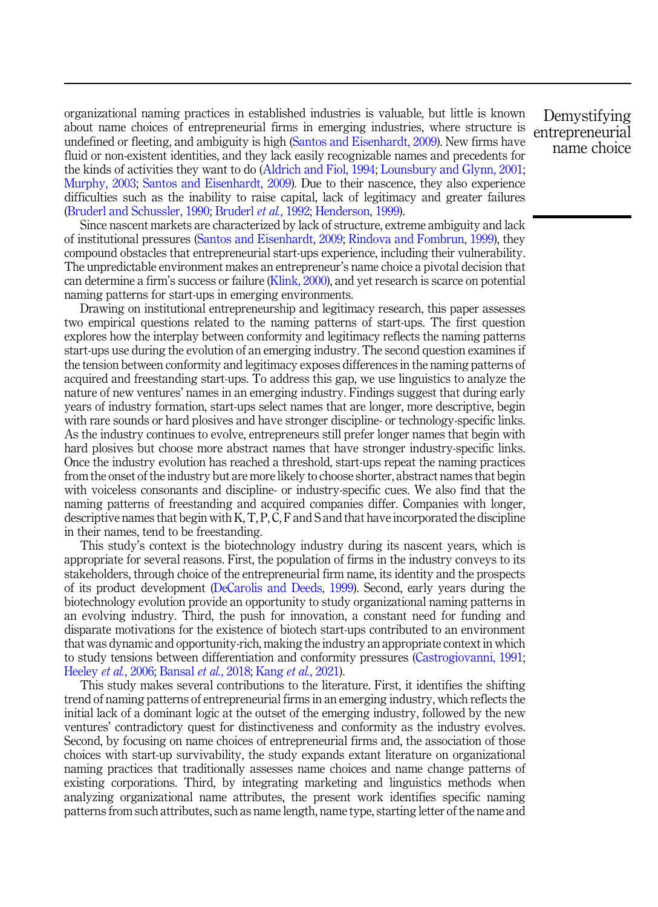organizational naming practices in established industries is valuable, but little is known about name choices of entrepreneurial firms in emerging industries, where structure is undefined or fleeting, and ambiguity is high [\(Santos and Eisenhardt, 2009\)](#page-23-0). New firms have fluid or non-existent identities, and they lack easily recognizable names and precedents for the kinds of activities they want to do ([Aldrich and Fiol, 1994](#page-20-0); [Lounsbury and Glynn, 2001](#page-23-0); [Murphy, 2003](#page-23-0); [Santos and Eisenhardt, 2009](#page-23-0)). Due to their nascence, they also experience difficulties such as the inability to raise capital, lack of legitimacy and greater failures ([Bruderl and Schussler, 1990](#page-20-0); [Bruderl](#page-20-0) et al., 1992; [Henderson, 1999\)](#page-22-0).

Since nascent markets are characterized by lack of structure, extreme ambiguity and lack of institutional pressures [\(Santos and Eisenhardt, 2009](#page-23-0); [Rindova and Fombrun, 1999](#page-23-0)), they compound obstacles that entrepreneurial start-ups experience, including their vulnerability. The unpredictable environment makes an entrepreneur's name choice a pivotal decision that can determine a firm's success or failure ([Klink, 2000](#page-22-0)), and yet research is scarce on potential naming patterns for start-ups in emerging environments.

Drawing on institutional entrepreneurship and legitimacy research, this paper assesses two empirical questions related to the naming patterns of start-ups. The first question explores how the interplay between conformity and legitimacy reflects the naming patterns start-ups use during the evolution of an emerging industry. The second question examines if the tension between conformity and legitimacy exposes differences in the naming patterns of acquired and freestanding start-ups. To address this gap, we use linguistics to analyze the nature of new ventures' names in an emerging industry. Findings suggest that during early years of industry formation, start-ups select names that are longer, more descriptive, begin with rare sounds or hard plosives and have stronger discipline- or technology-specific links. As the industry continues to evolve, entrepreneurs still prefer longer names that begin with hard plosives but choose more abstract names that have stronger industry-specific links. Once the industry evolution has reached a threshold, start-ups repeat the naming practices from the onset of the industry but are more likely to choose shorter, abstract names that begin with voiceless consonants and discipline- or industry-specific cues. We also find that the naming patterns of freestanding and acquired companies differ. Companies with longer, descriptive names that begin with K, T, P, C, F and S and that have incorporated the discipline in their names, tend to be freestanding.

This study's context is the biotechnology industry during its nascent years, which is appropriate for several reasons. First, the population of firms in the industry conveys to its stakeholders, through choice of the entrepreneurial firm name, its identity and the prospects of its product development [\(DeCarolis and Deeds, 1999](#page-21-0)). Second, early years during the biotechnology evolution provide an opportunity to study organizational naming patterns in an evolving industry. Third, the push for innovation, a constant need for funding and disparate motivations for the existence of biotech start-ups contributed to an environment that was dynamic and opportunity-rich, making the industry an appropriate context in which to study tensions between differentiation and conformity pressures ([Castrogiovanni, 1991](#page-21-0); [Heeley](#page-22-0) et al., 2006; [Bansal](#page-20-0) et al., 2018; Kang et al.[, 2021](#page-22-0)).

This study makes several contributions to the literature. First, it identifies the shifting trend of naming patterns of entrepreneurial firms in an emerging industry, which reflects the initial lack of a dominant logic at the outset of the emerging industry, followed by the new ventures' contradictory quest for distinctiveness and conformity as the industry evolves. Second, by focusing on name choices of entrepreneurial firms and, the association of those choices with start-up survivability, the study expands extant literature on organizational naming practices that traditionally assesses name choices and name change patterns of existing corporations. Third, by integrating marketing and linguistics methods when analyzing organizational name attributes, the present work identifies specific naming patterns from such attributes, such as name length, name type, starting letter of the name and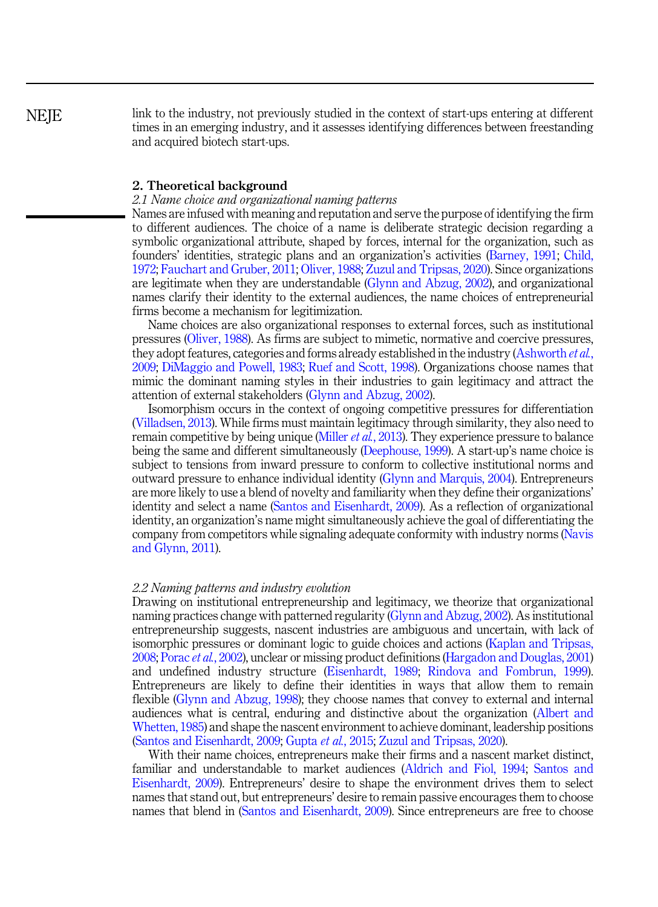link to the industry, not previously studied in the context of start-ups entering at different times in an emerging industry, and it assesses identifying differences between freestanding and acquired biotech start-ups.

#### 2. Theoretical background

#### 2.1 Name choice and organizational naming patterns

Names are infused with meaning and reputation and serve the purpose of identifying the firm to different audiences. The choice of a name is deliberate strategic decision regarding a symbolic organizational attribute, shaped by forces, internal for the organization, such as founders' identities, strategic plans and an organization's activities ([Barney, 1991;](#page-20-0) [Child,](#page-21-0) [1972;](#page-21-0) [Fauchart and Gruber, 2011](#page-21-0); [Oliver, 1988;](#page-23-0) [Zuzul and Tripsas, 2020](#page-24-0)). Since organizations are legitimate when they are understandable ([Glynn and Abzug, 2002\)](#page-22-0), and organizational names clarify their identity to the external audiences, the name choices of entrepreneurial firms become a mechanism for legitimization.

Name choices are also organizational responses to external forces, such as institutional pressures [\(Oliver, 1988\)](#page-23-0). As firms are subject to mimetic, normative and coercive pressures, they adopt features, categories and forms already established in the industry ([Ashworth](#page-20-0) *et al.*, [2009;](#page-20-0) [DiMaggio and Powell, 1983;](#page-21-0) [Ruef and Scott, 1998\)](#page-23-0). Organizations choose names that mimic the dominant naming styles in their industries to gain legitimacy and attract the attention of external stakeholders ([Glynn and Abzug, 2002](#page-22-0)).

Isomorphism occurs in the context of ongoing competitive pressures for differentiation ([Villadsen, 2013\)](#page-24-0). While firms must maintain legitimacy through similarity, they also need to remain competitive by being unique ([Miller](#page-23-0) *et al.*, 2013). They experience pressure to balance being the same and different simultaneously ([Deephouse, 1999\)](#page-21-0). A start-up's name choice is subject to tensions from inward pressure to conform to collective institutional norms and outward pressure to enhance individual identity [\(Glynn and Marquis, 2004\)](#page-22-0). Entrepreneurs are more likely to use a blend of novelty and familiarity when they define their organizations' identity and select a name [\(Santos and Eisenhardt, 2009\)](#page-23-0). As a reflection of organizational identity, an organization's name might simultaneously achieve the goal of differentiating the company from competitors while signaling adequate conformity with industry norms [\(Navis](#page-23-0) [and Glynn, 2011](#page-23-0)).

#### 2.2 Naming patterns and industry evolution

Drawing on institutional entrepreneurship and legitimacy, we theorize that organizational naming practices change with patterned regularity ([Glynn and Abzug, 2002\)](#page-22-0). As institutional entrepreneurship suggests, nascent industries are ambiguous and uncertain, with lack of isomorphic pressures or dominant logic to guide choices and actions ([Kaplan and Tripsas,](#page-22-0) [2008;](#page-22-0) Porac et al.[, 2002\)](#page-23-0), unclear or missing product definitions [\(Hargadon and Douglas, 2001\)](#page-22-0) and undefined industry structure [\(Eisenhardt, 1989](#page-21-0); [Rindova and Fombrun, 1999\)](#page-23-0). Entrepreneurs are likely to define their identities in ways that allow them to remain flexible [\(Glynn and Abzug, 1998\)](#page-22-0); they choose names that convey to external and internal audiences what is central, enduring and distinctive about the organization [\(Albert and](#page-19-0) [Whetten, 1985](#page-19-0)) and shape the nascent environment to achieve dominant, leadership positions ([Santos and Eisenhardt, 2009](#page-23-0); [Gupta](#page-22-0) et al., 2015; [Zuzul and Tripsas, 2020\)](#page-24-0).

With their name choices, entrepreneurs make their firms and a nascent market distinct, familiar and understandable to market audiences [\(Aldrich and Fiol, 1994](#page-20-0); [Santos and](#page-23-0) [Eisenhardt, 2009](#page-23-0)). Entrepreneurs' desire to shape the environment drives them to select names that stand out, but entrepreneurs' desire to remain passive encourages them to choose names that blend in [\(Santos and Eisenhardt, 2009](#page-23-0)). Since entrepreneurs are free to choose

**NEIE**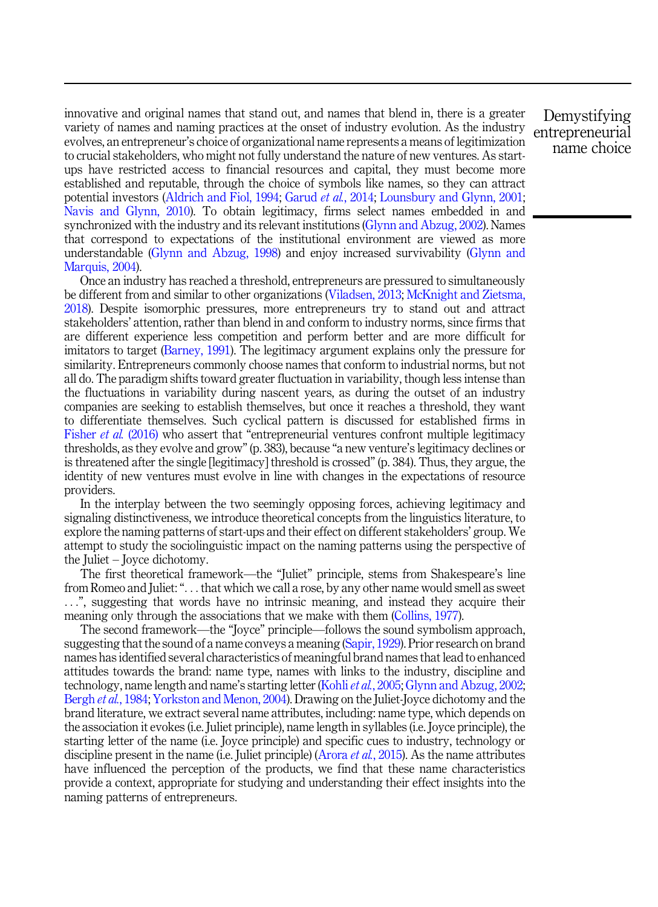innovative and original names that stand out, and names that blend in, there is a greater variety of names and naming practices at the onset of industry evolution. As the industry evolves, an entrepreneur's choice of organizational name represents a means of legitimization to crucial stakeholders, who might not fully understand the nature of new ventures. As startups have restricted access to financial resources and capital, they must become more established and reputable, through the choice of symbols like names, so they can attract potential investors [\(Aldrich and Fiol, 1994](#page-20-0); [Garud](#page-21-0) et al., 2014; [Lounsbury and Glynn, 2001](#page-23-0); [Navis and Glynn, 2010\)](#page-23-0). To obtain legitimacy, firms select names embedded in and synchronized with the industry and its relevant institutions [\(Glynn and Abzug, 2002](#page-22-0)). Names that correspond to expectations of the institutional environment are viewed as more understandable [\(Glynn and Abzug, 1998](#page-22-0)) and enjoy increased survivability [\(Glynn and](#page-22-0) [Marquis, 2004](#page-22-0)).

Once an industry has reached a threshold, entrepreneurs are pressured to simultaneously be different from and similar to other organizations [\(Viladsen, 2013](#page-24-0); [McKnight and Zietsma,](#page-23-0) [2018\)](#page-23-0). Despite isomorphic pressures, more entrepreneurs try to stand out and attract stakeholders' attention, rather than blend in and conform to industry norms, since firms that are different experience less competition and perform better and are more difficult for imitators to target ([Barney, 1991\)](#page-20-0). The legitimacy argument explains only the pressure for similarity. Entrepreneurs commonly choose names that conform to industrial norms, but not all do. The paradigm shifts toward greater fluctuation in variability, though less intense than the fluctuations in variability during nascent years, as during the outset of an industry companies are seeking to establish themselves, but once it reaches a threshold, they want to differentiate themselves. Such cyclical pattern is discussed for established firms in [Fisher](#page-21-0) et al. (2016) who assert that "entrepreneurial ventures confront multiple legitimacy thresholds, as they evolve and grow"(p. 383), because "a new venture's legitimacy declines or is threatened after the single [legitimacy] threshold is crossed" (p. 384). Thus, they argue, the identity of new ventures must evolve in line with changes in the expectations of resource providers.

In the interplay between the two seemingly opposing forces, achieving legitimacy and signaling distinctiveness, we introduce theoretical concepts from the linguistics literature, to explore the naming patterns of start-ups and their effect on different stakeholders' group. We attempt to study the sociolinguistic impact on the naming patterns using the perspective of the Juliet – Joyce dichotomy.

The first theoretical framework—the "Juliet" principle, stems from Shakespeare's line from Romeo and Juliet:"... that which we call a rose, by any other name would smell as sweet ...", suggesting that words have no intrinsic meaning, and instead they acquire their meaning only through the associations that we make with them ([Collins, 1977\)](#page-21-0).

The second framework—the "Joyce" principle—follows the sound symbolism approach, suggesting that the sound of a name conveys a meaning [\(Sapir, 1929](#page-24-0)). Prior research on brand names has identified several characteristics of meaningful brand names that lead to enhanced attitudes towards the brand: name type, names with links to the industry, discipline and technology, name length and name's starting letter (Kohli *et al.*[, 2005;](#page-22-0) [Glynn and Abzug, 2002](#page-22-0); [Bergh](#page-20-0) et al., 1984; [Yorkston and Menon, 2004\)](#page-24-0). Drawing on the Juliet-Joyce dichotomy and the brand literature, we extract several name attributes, including: name type, which depends on the association it evokes (i.e. Juliet principle), name length in syllables (i.e. Joyce principle), the starting letter of the name (i.e. Joyce principle) and specific cues to industry, technology or discipline present in the name (i.e. Juliet principle) [\(Arora](#page-20-0) *et al.*, 2015). As the name attributes have influenced the perception of the products, we find that these name characteristics provide a context, appropriate for studying and understanding their effect insights into the naming patterns of entrepreneurs.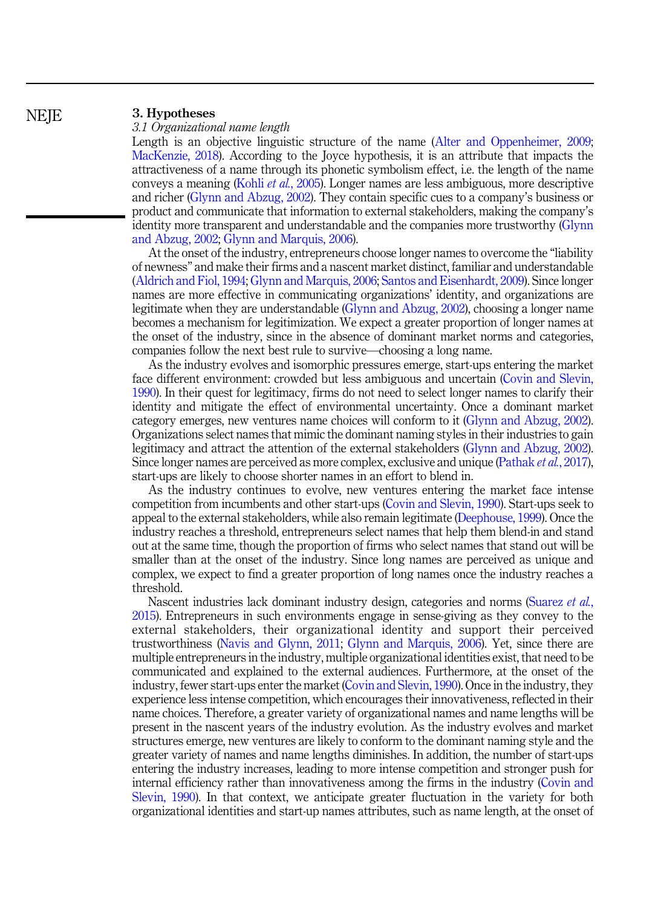#### 3. Hypotheses

#### 3.1 Organizational name length

Length is an objective linguistic structure of the name ([Alter and Oppenheimer, 2009](#page-20-0); [MacKenzie, 2018](#page-23-0)). According to the Joyce hypothesis, it is an attribute that impacts the attractiveness of a name through its phonetic symbolism effect, i.e. the length of the name conveys a meaning (Kohli et al.[, 2005](#page-22-0)). Longer names are less ambiguous, more descriptive and richer ([Glynn and Abzug, 2002\)](#page-22-0). They contain specific cues to a company's business or product and communicate that information to external stakeholders, making the company's identity more transparent and understandable and the companies more trustworthy ([Glynn](#page-22-0) [and Abzug, 2002;](#page-22-0) [Glynn and Marquis, 2006](#page-22-0)).

At the onset of the industry, entrepreneurs choose longer names to overcome the "liability of newness" and make their firms and a nascent market distinct, familiar and understandable ([Aldrich and Fiol, 1994](#page-20-0); [Glynn and Marquis, 2006;](#page-22-0) [Santos and Eisenhardt, 2009](#page-23-0)). Since longer names are more effective in communicating organizations' identity, and organizations are legitimate when they are understandable ([Glynn and Abzug, 2002\)](#page-22-0), choosing a longer name becomes a mechanism for legitimization. We expect a greater proportion of longer names at the onset of the industry, since in the absence of dominant market norms and categories, companies follow the next best rule to survive—choosing a long name.

As the industry evolves and isomorphic pressures emerge, start-ups entering the market face different environment: crowded but less ambiguous and uncertain [\(Covin and Slevin,](#page-21-0) [1990\)](#page-21-0). In their quest for legitimacy, firms do not need to select longer names to clarify their identity and mitigate the effect of environmental uncertainty. Once a dominant market category emerges, new ventures name choices will conform to it ([Glynn and Abzug, 2002\)](#page-22-0). Organizations select names that mimic the dominant naming styles in their industries to gain legitimacy and attract the attention of the external stakeholders ([Glynn and Abzug, 2002\)](#page-22-0). Since longer names are perceived as more complex, exclusive and unique [\(Pathak](#page-23-0) *et al.*, 2017), start-ups are likely to choose shorter names in an effort to blend in.

As the industry continues to evolve, new ventures entering the market face intense competition from incumbents and other start-ups [\(Covin and Slevin, 1990](#page-21-0)). Start-ups seek to appeal to the external stakeholders, while also remain legitimate [\(Deephouse, 1999](#page-21-0)). Once the industry reaches a threshold, entrepreneurs select names that help them blend-in and stand out at the same time, though the proportion of firms who select names that stand out will be smaller than at the onset of the industry. Since long names are perceived as unique and complex, we expect to find a greater proportion of long names once the industry reaches a threshold.

Nascent industries lack dominant industry design, categories and norms ([Suarez](#page-24-0) et al., [2015\)](#page-24-0). Entrepreneurs in such environments engage in sense-giving as they convey to the external stakeholders, their organizational identity and support their perceived trustworthiness [\(Navis and Glynn, 2011](#page-23-0); [Glynn and Marquis, 2006](#page-22-0)). Yet, since there are multiple entrepreneurs in the industry, multiple organizational identities exist, that need to be communicated and explained to the external audiences. Furthermore, at the onset of the industry, fewer start-ups enter the market ([Covin and Slevin, 1990](#page-21-0)). Once in the industry, they experience less intense competition, which encourages their innovativeness, reflected in their name choices. Therefore, a greater variety of organizational names and name lengths will be present in the nascent years of the industry evolution. As the industry evolves and market structures emerge, new ventures are likely to conform to the dominant naming style and the greater variety of names and name lengths diminishes. In addition, the number of start-ups entering the industry increases, leading to more intense competition and stronger push for internal efficiency rather than innovativeness among the firms in the industry ([Covin and](#page-21-0) [Slevin, 1990](#page-21-0)). In that context, we anticipate greater fluctuation in the variety for both organizational identities and start-up names attributes, such as name length, at the onset of

**NEIE**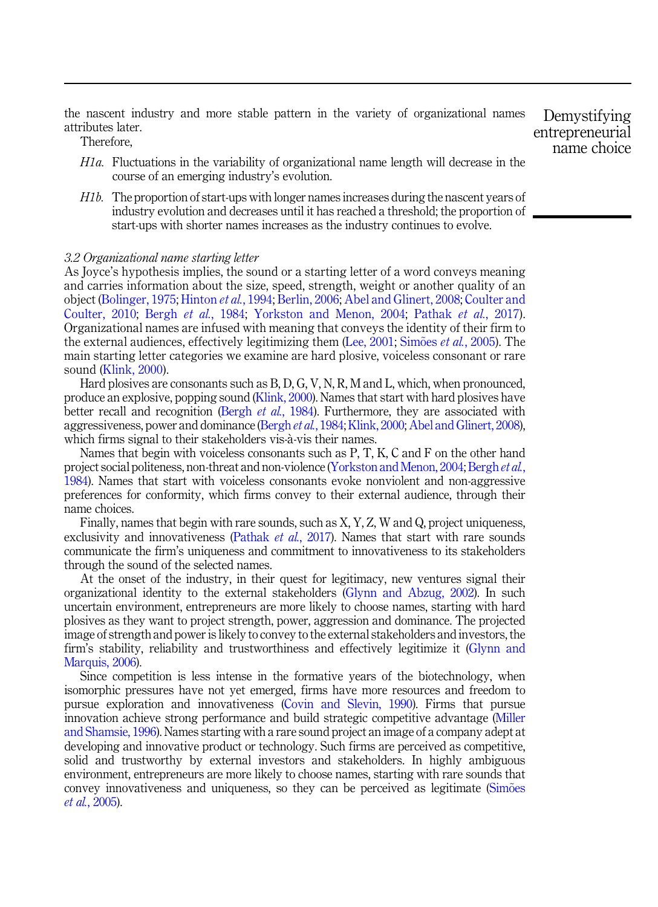<span id="page-8-0"></span>the nascent industry and more stable pattern in the variety of organizational names attributes later.

Therefore,

- $H1a$ . Fluctuations in the variability of organizational name length will decrease in the course of an emerging industry's evolution.
- H1b. The proportion of start-ups with longer names increases during the nascent years of industry evolution and decreases until it has reached a threshold; the proportion of start-ups with shorter names increases as the industry continues to evolve.

#### 3.2 Organizational name starting letter

As Joyce's hypothesis implies, the sound or a starting letter of a word conveys meaning and carries information about the size, speed, strength, weight or another quality of an object ([Bolinger, 1975](#page-20-0); [Hinton](#page-22-0) et al., 1994; [Berlin, 2006](#page-20-0); [Abel and Glinert, 2008](#page-19-0); [Coulter and](#page-21-0) [Coulter, 2010](#page-21-0); Bergh et al.[, 1984;](#page-20-0) [Yorkston and Menon, 2004;](#page-24-0) [Pathak](#page-23-0) et al., 2017). Organizational names are infused with meaning that conveys the identity of their firm to the external audiences, effectively legitimizing them ([Lee, 2001;](#page-22-0) [Sim](#page-24-0) $\tilde{\rm o}$ es *et al.*[, 2005\)](#page-24-0). The main starting letter categories we examine are hard plosive, voiceless consonant or rare sound [\(Klink, 2000](#page-22-0)).

Hard plosives are consonants such as B, D, G, V, N, R, M and L, which, when pronounced, produce an explosive, popping sound ([Klink, 2000](#page-22-0)). Names that start with hard plosives have better recall and recognition (Bergh *et al.*[, 1984](#page-20-0)). Furthermore, they are associated with aggressiveness, power and dominance [\(Bergh](#page-20-0) et al., 1984; [Klink, 2000](#page-22-0); [Abel and Glinert, 2008\)](#page-19-0), which firms signal to their stakeholders vis-à-vis their names.

Names that begin with voiceless consonants such as P, T, K, C and F on the other hand project social politeness, non-threat and non-violence ([Yorkston and Menon, 2004;](#page-24-0) [Bergh](#page-20-0) et al., [1984\)](#page-20-0). Names that start with voiceless consonants evoke nonviolent and non-aggressive preferences for conformity, which firms convey to their external audience, through their name choices.

Finally, names that begin with rare sounds, such as X, Y, Z, W and Q, project uniqueness, exclusivity and innovativeness ([Pathak](#page-23-0) et al., 2017). Names that start with rare sounds communicate the firm's uniqueness and commitment to innovativeness to its stakeholders through the sound of the selected names.

At the onset of the industry, in their quest for legitimacy, new ventures signal their organizational identity to the external stakeholders [\(Glynn and Abzug, 2002](#page-22-0)). In such uncertain environment, entrepreneurs are more likely to choose names, starting with hard plosives as they want to project strength, power, aggression and dominance. The projected image of strength and power is likely to convey to the external stakeholders and investors, the firm's stability, reliability and trustworthiness and effectively legitimize it ([Glynn and](#page-22-0) [Marquis, 2006](#page-22-0)).

Since competition is less intense in the formative years of the biotechnology, when isomorphic pressures have not yet emerged, firms have more resources and freedom to pursue exploration and innovativeness [\(Covin and Slevin, 1990](#page-21-0)). Firms that pursue innovation achieve strong performance and build strategic competitive advantage ([Miller](#page-23-0) [and Shamsie, 1996](#page-23-0)). Names starting with a rare sound project an image of a company adept at developing and innovative product or technology. Such firms are perceived as competitive, solid and trustworthy by external investors and stakeholders. In highly ambiguous environment, entrepreneurs are more likely to choose names, starting with rare sounds that convey innovativeness and uniqueness, so they can be perceived as legitimate [\(Sim](#page-24-0)[oes](#page-24-0) et al.[, 2005\)](#page-24-0).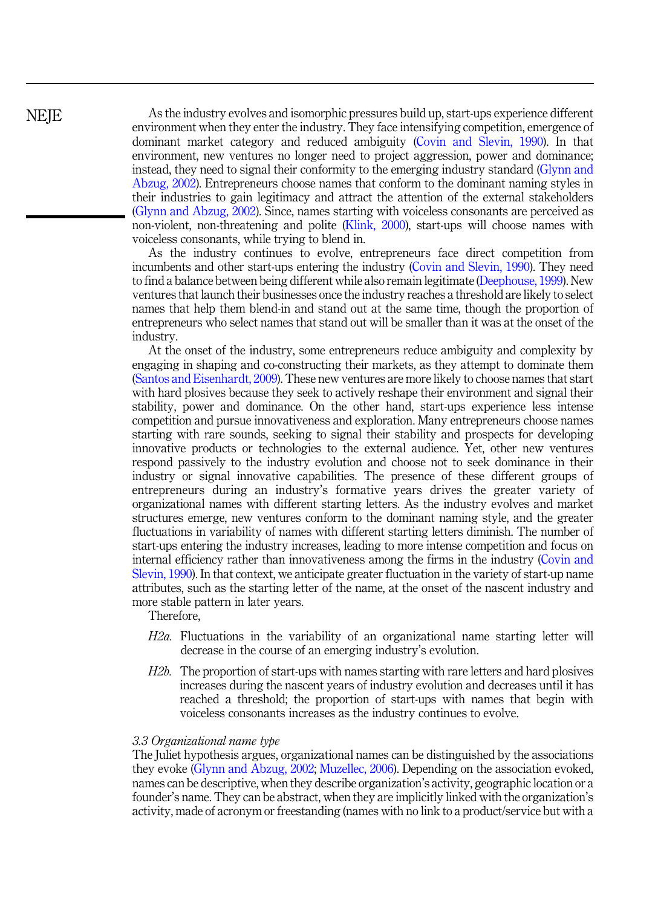<span id="page-9-0"></span>**NEIE** 

As the industry evolves and isomorphic pressures build up, start-ups experience different environment when they enter the industry. They face intensifying competition, emergence of dominant market category and reduced ambiguity [\(Covin and Slevin, 1990](#page-21-0)). In that environment, new ventures no longer need to project aggression, power and dominance; instead, they need to signal their conformity to the emerging industry standard ([Glynn and](#page-22-0) [Abzug, 2002\)](#page-22-0). Entrepreneurs choose names that conform to the dominant naming styles in their industries to gain legitimacy and attract the attention of the external stakeholders ([Glynn and Abzug, 2002\)](#page-22-0). Since, names starting with voiceless consonants are perceived as non-violent, non-threatening and polite [\(Klink, 2000\)](#page-22-0), start-ups will choose names with voiceless consonants, while trying to blend in.

As the industry continues to evolve, entrepreneurs face direct competition from incumbents and other start-ups entering the industry [\(Covin and Slevin, 1990](#page-21-0)). They need to find a balance between being different while also remain legitimate ([Deephouse, 1999](#page-21-0)). New ventures that launch their businesses once the industry reaches a threshold are likely to select names that help them blend-in and stand out at the same time, though the proportion of entrepreneurs who select names that stand out will be smaller than it was at the onset of the industry.

At the onset of the industry, some entrepreneurs reduce ambiguity and complexity by engaging in shaping and co-constructing their markets, as they attempt to dominate them ([Santos and Eisenhardt, 2009\)](#page-23-0). These new ventures are more likely to choose names that start with hard plosives because they seek to actively reshape their environment and signal their stability, power and dominance. On the other hand, start-ups experience less intense competition and pursue innovativeness and exploration. Many entrepreneurs choose names starting with rare sounds, seeking to signal their stability and prospects for developing innovative products or technologies to the external audience. Yet, other new ventures respond passively to the industry evolution and choose not to seek dominance in their industry or signal innovative capabilities. The presence of these different groups of entrepreneurs during an industry's formative years drives the greater variety of organizational names with different starting letters. As the industry evolves and market structures emerge, new ventures conform to the dominant naming style, and the greater fluctuations in variability of names with different starting letters diminish. The number of start-ups entering the industry increases, leading to more intense competition and focus on internal efficiency rather than innovativeness among the firms in the industry ([Covin and](#page-21-0) [Slevin, 1990](#page-21-0)). In that context, we anticipate greater fluctuation in the variety of start-up name attributes, such as the starting letter of the name, at the onset of the nascent industry and more stable pattern in later years.

Therefore,

- H2a. Fluctuations in the variability of an organizational name starting letter will decrease in the course of an emerging industry's evolution.
- H<sub>2b</sub>. The proportion of start-ups with names starting with rare letters and hard plosives increases during the nascent years of industry evolution and decreases until it has reached a threshold; the proportion of start-ups with names that begin with voiceless consonants increases as the industry continues to evolve.

#### 3.3 Organizational name type

The Juliet hypothesis argues, organizational names can be distinguished by the associations they evoke [\(Glynn and Abzug, 2002;](#page-22-0) [Muzellec, 2006](#page-23-0)). Depending on the association evoked, names can be descriptive, when they describe organization's activity, geographic location or a founder's name. They can be abstract, when they are implicitly linked with the organization's activity, made of acronym or freestanding (names with no link to a product/service but with a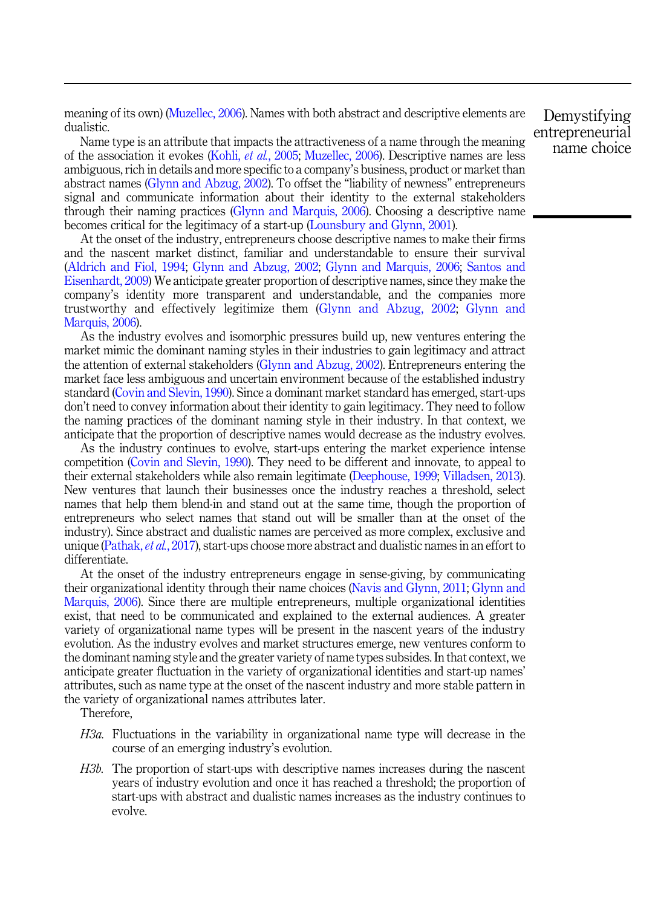<span id="page-10-0"></span>meaning of its own) ([Muzellec, 2006](#page-23-0)). Names with both abstract and descriptive elements are dualistic.

Name type is an attribute that impacts the attractiveness of a name through the meaning of the association it evokes (Kohli, et al.[, 2005;](#page-22-0) [Muzellec, 2006](#page-23-0)). Descriptive names are less ambiguous, rich in details and more specific to a company's business, product or market than abstract names ([Glynn and Abzug, 2002\)](#page-22-0). To offset the "liability of newness" entrepreneurs signal and communicate information about their identity to the external stakeholders through their naming practices ([Glynn and Marquis, 2006](#page-22-0)). Choosing a descriptive name becomes critical for the legitimacy of a start-up [\(Lounsbury and Glynn, 2001](#page-23-0)).

At the onset of the industry, entrepreneurs choose descriptive names to make their firms and the nascent market distinct, familiar and understandable to ensure their survival ([Aldrich and Fiol, 1994](#page-20-0); [Glynn and Abzug, 2002;](#page-22-0) [Glynn and Marquis, 2006;](#page-22-0) [Santos and](#page-23-0) [Eisenhardt, 2009](#page-23-0)) We anticipate greater proportion of descriptive names, since they make the company's identity more transparent and understandable, and the companies more trustworthy and effectively legitimize them [\(Glynn and Abzug, 2002;](#page-22-0) [Glynn and](#page-22-0) [Marquis, 2006](#page-22-0)).

As the industry evolves and isomorphic pressures build up, new ventures entering the market mimic the dominant naming styles in their industries to gain legitimacy and attract the attention of external stakeholders ([Glynn and Abzug, 2002\)](#page-22-0). Entrepreneurs entering the market face less ambiguous and uncertain environment because of the established industry standard [\(Covin and Slevin, 1990](#page-21-0)). Since a dominant market standard has emerged, start-ups don't need to convey information about their identity to gain legitimacy. They need to follow the naming practices of the dominant naming style in their industry. In that context, we anticipate that the proportion of descriptive names would decrease as the industry evolves.

As the industry continues to evolve, start-ups entering the market experience intense competition ([Covin and Slevin, 1990\)](#page-21-0). They need to be different and innovate, to appeal to their external stakeholders while also remain legitimate [\(Deephouse, 1999;](#page-21-0) [Villadsen, 2013\)](#page-24-0). New ventures that launch their businesses once the industry reaches a threshold, select names that help them blend-in and stand out at the same time, though the proportion of entrepreneurs who select names that stand out will be smaller than at the onset of the industry). Since abstract and dualistic names are perceived as more complex, exclusive and unique [\(Pathak,](#page-23-0) *et al.*, 2017), start-ups choose more abstract and dualistic names in an effort to differentiate.

At the onset of the industry entrepreneurs engage in sense-giving, by communicating their organizational identity through their name choices ([Navis and Glynn, 2011;](#page-23-0) [Glynn and](#page-22-0) [Marquis, 2006](#page-22-0)). Since there are multiple entrepreneurs, multiple organizational identities exist, that need to be communicated and explained to the external audiences. A greater variety of organizational name types will be present in the nascent years of the industry evolution. As the industry evolves and market structures emerge, new ventures conform to the dominant naming style and the greater variety of name types subsides. In that context, we anticipate greater fluctuation in the variety of organizational identities and start-up names' attributes, such as name type at the onset of the nascent industry and more stable pattern in the variety of organizational names attributes later.

Therefore,

- H3a. Fluctuations in the variability in organizational name type will decrease in the course of an emerging industry's evolution.
- H3b. The proportion of start-ups with descriptive names increases during the nascent years of industry evolution and once it has reached a threshold; the proportion of start-ups with abstract and dualistic names increases as the industry continues to evolve.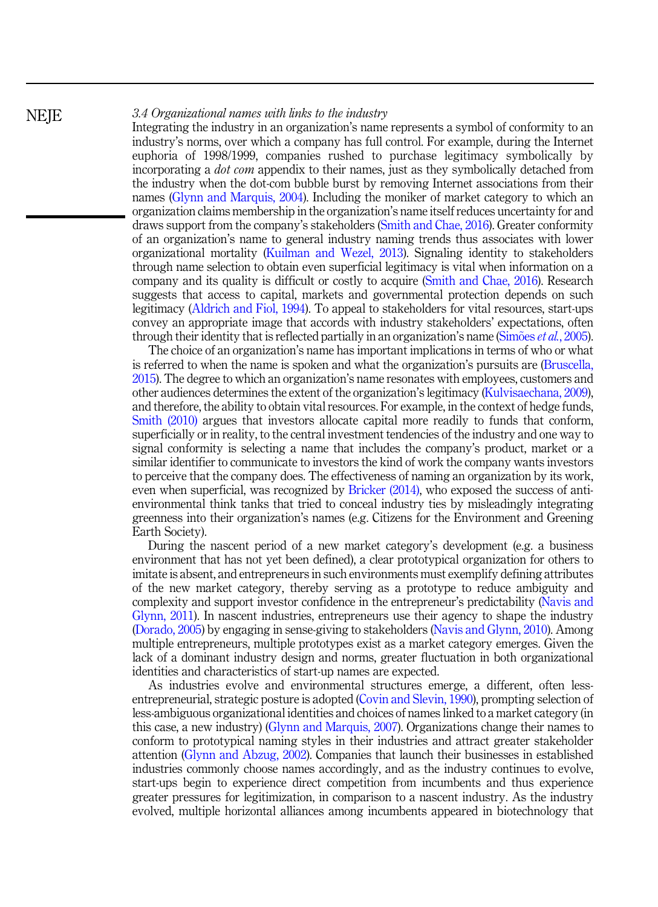#### 3.4 Organizational names with links to the industry

Integrating the industry in an organization's name represents a symbol of conformity to an industry's norms, over which a company has full control. For example, during the Internet euphoria of 1998/1999, companies rushed to purchase legitimacy symbolically by incorporating a *dot com* appendix to their names, just as they symbolically detached from the industry when the dot-com bubble burst by removing Internet associations from their names [\(Glynn and Marquis, 2004](#page-22-0)). Including the moniker of market category to which an organization claims membership in the organization's name itself reduces uncertainty for and draws support from the company's stakeholders ([Smith and Chae, 2016\)](#page-24-0). Greater conformity of an organization's name to general industry naming trends thus associates with lower organizational mortality ([Kuilman and Wezel, 2013](#page-22-0)). Signaling identity to stakeholders through name selection to obtain even superficial legitimacy is vital when information on a company and its quality is difficult or costly to acquire [\(Smith and Chae, 2016](#page-24-0)). Research suggests that access to capital, markets and governmental protection depends on such legitimacy ([Aldrich and Fiol, 1994\)](#page-20-0). To appeal to stakeholders for vital resources, start-ups convey an appropriate image that accords with industry stakeholders' expectations, often through their identity that is reflected partially in an organization's name [\(Sim](#page-24-0)ões *et al.*[, 2005\)](#page-24-0).

The choice of an organization's name has important implications in terms of who or what is referred to when the name is spoken and what the organization's pursuits are ([Bruscella,](#page-20-0) [2015\)](#page-20-0). The degree to which an organization's name resonates with employees, customers and other audiences determines the extent of the organization's legitimacy ([Kulvisaechana, 2009\)](#page-22-0), and therefore, the ability to obtain vital resources. For example, in the context of hedge funds, [Smith \(2010\)](#page-24-0) argues that investors allocate capital more readily to funds that conform, superficially or in reality, to the central investment tendencies of the industry and one way to signal conformity is selecting a name that includes the company's product, market or a similar identifier to communicate to investors the kind of work the company wants investors to perceive that the company does. The effectiveness of naming an organization by its work, even when superficial, was recognized by [Bricker \(2014\),](#page-20-0) who exposed the success of antienvironmental think tanks that tried to conceal industry ties by misleadingly integrating greenness into their organization's names (e.g. Citizens for the Environment and Greening Earth Society).

During the nascent period of a new market category's development (e.g. a business environment that has not yet been defined), a clear prototypical organization for others to imitate is absent, and entrepreneurs in such environments must exemplify defining attributes of the new market category, thereby serving as a prototype to reduce ambiguity and complexity and support investor confidence in the entrepreneur's predictability [\(Navis and](#page-23-0) [Glynn, 2011](#page-23-0)). In nascent industries, entrepreneurs use their agency to shape the industry ([Dorado, 2005](#page-21-0)) by engaging in sense-giving to stakeholders [\(Navis and Glynn, 2010](#page-23-0)). Among multiple entrepreneurs, multiple prototypes exist as a market category emerges. Given the lack of a dominant industry design and norms, greater fluctuation in both organizational identities and characteristics of start-up names are expected.

As industries evolve and environmental structures emerge, a different, often lessentrepreneurial, strategic posture is adopted [\(Covin and Slevin, 1990\)](#page-21-0), prompting selection of less-ambiguous organizational identities and choices of names linked to a market category (in this case, a new industry) [\(Glynn and Marquis, 2007](#page-22-0)). Organizations change their names to conform to prototypical naming styles in their industries and attract greater stakeholder attention [\(Glynn and Abzug, 2002\)](#page-22-0). Companies that launch their businesses in established industries commonly choose names accordingly, and as the industry continues to evolve, start-ups begin to experience direct competition from incumbents and thus experience greater pressures for legitimization, in comparison to a nascent industry. As the industry evolved, multiple horizontal alliances among incumbents appeared in biotechnology that

**NEIE**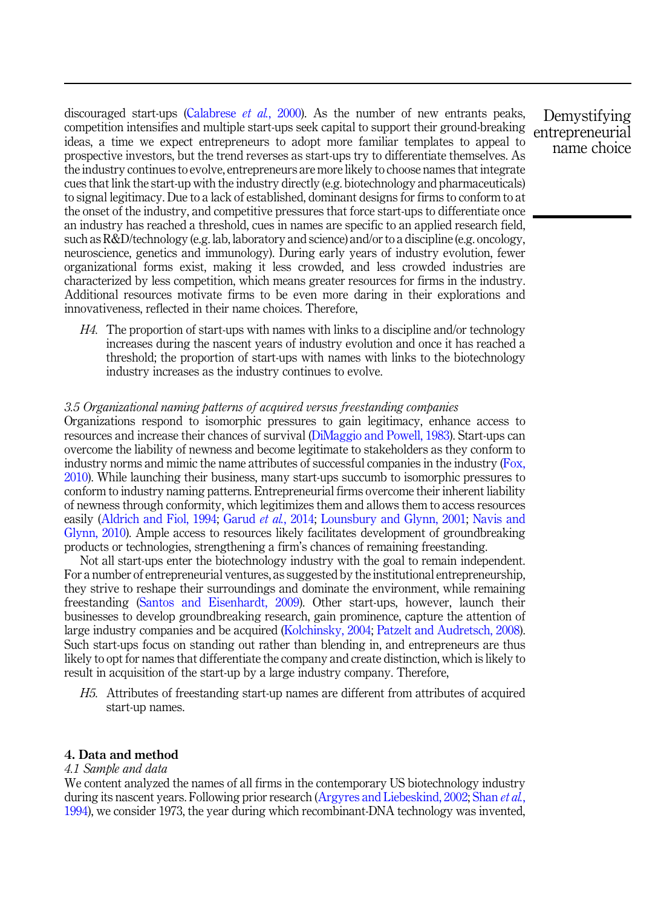<span id="page-12-0"></span>discouraged start-ups [\(Calabrese](#page-20-0) *et al.*, 2000). As the number of new entrants peaks, competition intensifies and multiple start-ups seek capital to support their ground-breaking ideas, a time we expect entrepreneurs to adopt more familiar templates to appeal to prospective investors, but the trend reverses as start-ups try to differentiate themselves. As the industry continues to evolve, entrepreneurs are more likely to choose names that integrate cues that link the start-up with the industry directly (e.g. biotechnology and pharmaceuticals) to signal legitimacy. Due to a lack of established, dominant designs for firms to conform to at the onset of the industry, and competitive pressures that force start-ups to differentiate once an industry has reached a threshold, cues in names are specific to an applied research field, such as R&D/technology (e.g. lab, laboratory and science) and/or to a discipline (e.g. oncology, neuroscience, genetics and immunology). During early years of industry evolution, fewer organizational forms exist, making it less crowded, and less crowded industries are characterized by less competition, which means greater resources for firms in the industry. Additional resources motivate firms to be even more daring in their explorations and innovativeness, reflected in their name choices. Therefore,

 $H<sub>4</sub>$ . The proportion of start-ups with names with links to a discipline and/or technology increases during the nascent years of industry evolution and once it has reached a threshold; the proportion of start-ups with names with links to the biotechnology industry increases as the industry continues to evolve.

#### 3.5 Organizational naming patterns of acquired versus freestanding companies

Organizations respond to isomorphic pressures to gain legitimacy, enhance access to resources and increase their chances of survival ([DiMaggio and Powell, 1983](#page-21-0)). Start-ups can overcome the liability of newness and become legitimate to stakeholders as they conform to industry norms and mimic the name attributes of successful companies in the industry [\(Fox,](#page-21-0) [2010\)](#page-21-0). While launching their business, many start-ups succumb to isomorphic pressures to conform to industry naming patterns. Entrepreneurial firms overcome their inherent liability of newness through conformity, which legitimizes them and allows them to access resources easily ([Aldrich and Fiol, 1994;](#page-20-0) [Garud](#page-21-0) et al., 2014; [Lounsbury and Glynn, 2001;](#page-23-0) [Navis and](#page-23-0) [Glynn, 2010](#page-23-0)). Ample access to resources likely facilitates development of groundbreaking products or technologies, strengthening a firm's chances of remaining freestanding.

Not all start-ups enter the biotechnology industry with the goal to remain independent. For a number of entrepreneurial ventures, as suggested by the institutional entrepreneurship, they strive to reshape their surroundings and dominate the environment, while remaining freestanding ([Santos and Eisenhardt, 2009\)](#page-23-0). Other start-ups, however, launch their businesses to develop groundbreaking research, gain prominence, capture the attention of large industry companies and be acquired [\(Kolchinsky, 2004](#page-22-0); [Patzelt and Audretsch, 2008\)](#page-23-0). Such start-ups focus on standing out rather than blending in, and entrepreneurs are thus likely to opt for names that differentiate the company and create distinction, which is likely to result in acquisition of the start-up by a large industry company. Therefore,

H5. Attributes of freestanding start-up names are different from attributes of acquired start-up names.

#### 4. Data and method

#### 4.1 Sample and data

We content analyzed the names of all firms in the contemporary US biotechnology industry during its nascent years. Following prior research [\(Argyres and Liebeskind, 2002;](#page-20-0) [Shan](#page-24-0) et al., [1994\)](#page-24-0), we consider 1973, the year during which recombinant-DNA technology was invented,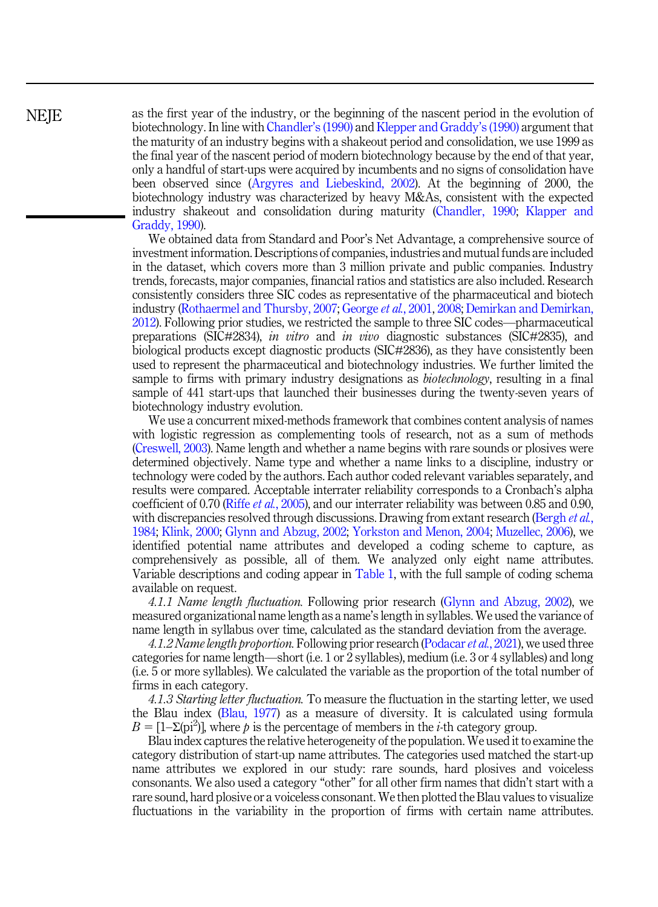**NEIE** 

as the first year of the industry, or the beginning of the nascent period in the evolution of biotechnology. In line with [Chandler](#page-21-0)'s (1990) and [Klepper and Graddy](#page-22-0)'s (1990) argument that the maturity of an industry begins with a shakeout period and consolidation, we use 1999 as the final year of the nascent period of modern biotechnology because by the end of that year, only a handful of start-ups were acquired by incumbents and no signs of consolidation have been observed since ([Argyres and Liebeskind, 2002](#page-20-0)). At the beginning of 2000, the biotechnology industry was characterized by heavy M&As, consistent with the expected industry shakeout and consolidation during maturity ([Chandler, 1990;](#page-21-0) [Klapper and](#page-22-0) [Graddy, 1990](#page-22-0)).

We obtained data from Standard and Poor's Net Advantage, a comprehensive source of investment information. Descriptions of companies, industries and mutual funds are included in the dataset, which covers more than 3 million private and public companies. Industry trends, forecasts, major companies, financial ratios and statistics are also included. Research consistently considers three SIC codes as representative of the pharmaceutical and biotech industry ([Rothaermel and Thursby, 2007;](#page-23-0) [George](#page-21-0) et al., 2001, [2008;](#page-21-0) [Demirkan and Demirkan,](#page-21-0) [2012\)](#page-21-0). Following prior studies, we restricted the sample to three SIC codes—pharmaceutical preparations (SIC#2834), in vitro and in vivo diagnostic substances (SIC#2835), and biological products except diagnostic products (SIC#2836), as they have consistently been used to represent the pharmaceutical and biotechnology industries. We further limited the sample to firms with primary industry designations as *biotechnology*, resulting in a final sample of 441 start-ups that launched their businesses during the twenty-seven years of biotechnology industry evolution.

We use a concurrent mixed-methods framework that combines content analysis of names with logistic regression as complementing tools of research, not as a sum of methods ([Creswell, 2003\)](#page-21-0). Name length and whether a name begins with rare sounds or plosives were determined objectively. Name type and whether a name links to a discipline, industry or technology were coded by the authors. Each author coded relevant variables separately, and results were compared. Acceptable interrater reliability corresponds to a Cronbach's alpha coefficient of 0.70 (Riffe et al.[, 2005\)](#page-23-0), and our interrater reliability was between 0.85 and 0.90, with discrepancies resolved through discussions. Drawing from extant research [\(Bergh](#page-20-0) et al., [1984;](#page-20-0) [Klink, 2000;](#page-22-0) [Glynn and Abzug, 2002;](#page-22-0) [Yorkston and Menon, 2004](#page-24-0); [Muzellec, 2006](#page-23-0)), we identified potential name attributes and developed a coding scheme to capture, as comprehensively as possible, all of them. We analyzed only eight name attributes. Variable descriptions and coding appear in [Table 1](#page-14-0), with the full sample of coding schema available on request.

4.1.1 Name length fluctuation. Following prior research ([Glynn and Abzug, 2002\)](#page-22-0), we measured organizational name length as a name's length in syllables. We used the variance of name length in syllabus over time, calculated as the standard deviation from the average.

4.1.2 Name length proportion. Following prior research [\(Podacar](#page-23-0) et al., 2021), we used three categories for name length—short (i.e. 1 or 2 syllables), medium (i.e. 3 or 4 syllables) and long (i.e. 5 or more syllables). We calculated the variable as the proportion of the total number of firms in each category.

4.1.3 Starting letter fluctuation. To measure the fluctuation in the starting letter, we used the Blau index ([Blau, 1977\)](#page-20-0) as a measure of diversity. It is calculated using formula  $B = [1-\Sigma(\pi)^2]$ , where p is the percentage of members in the *i*-th category group.

Blau index captures the relative heterogeneity of the population. We used it to examine the category distribution of start-up name attributes. The categories used matched the start-up name attributes we explored in our study: rare sounds, hard plosives and voiceless consonants. We also used a category "other" for all other firm names that didn't start with a rare sound, hard plosive or a voiceless consonant. We then plotted the Blau values to visualize fluctuations in the variability in the proportion of firms with certain name attributes.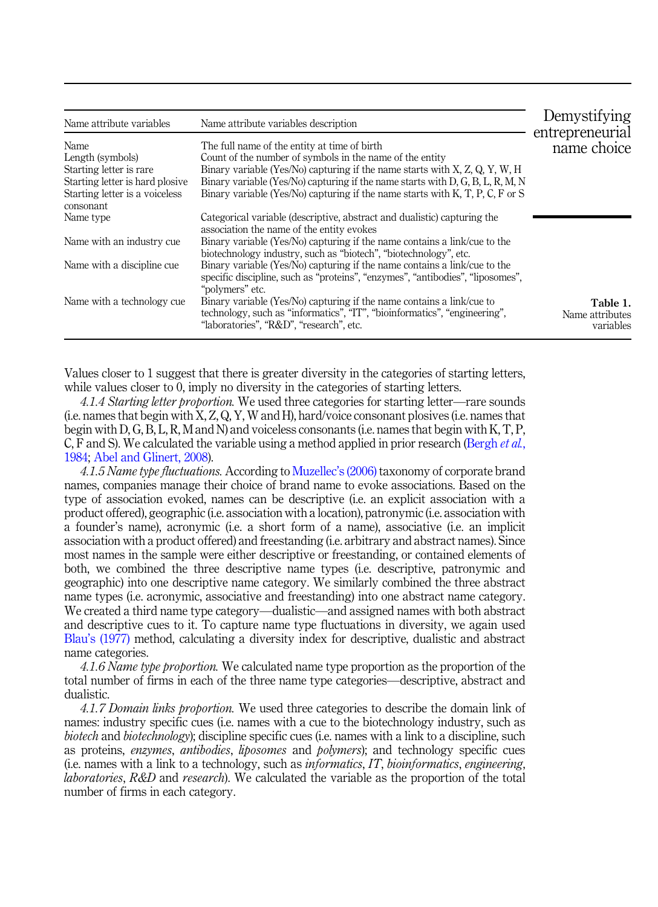<span id="page-14-0"></span>

| Name attribute variables                    | Name attribute variables description                                                                                                                                                          | Demystifying<br>entrepreneurial          |
|---------------------------------------------|-----------------------------------------------------------------------------------------------------------------------------------------------------------------------------------------------|------------------------------------------|
| <b>Name</b>                                 | The full name of the entity at time of birth                                                                                                                                                  | name choice                              |
| Length (symbols)                            | Count of the number of symbols in the name of the entity                                                                                                                                      |                                          |
| Starting letter is rare                     | Binary variable (Yes/No) capturing if the name starts with $X, Z, Q, Y, W, H$                                                                                                                 |                                          |
| Starting letter is hard plosive             | Binary variable (Yes/No) capturing if the name starts with D, G, B, L, R, M, N                                                                                                                |                                          |
| Starting letter is a voiceless<br>consonant | Binary variable (Yes/No) capturing if the name starts with K, T, P, C, F or S                                                                                                                 |                                          |
| Name type                                   | Categorical variable (descriptive, abstract and dualistic) capturing the<br>association the name of the entity evokes                                                                         |                                          |
| Name with an industry cue                   | Binary variable (Yes/No) capturing if the name contains a link/cue to the<br>biotechnology industry, such as "biotech", "biotechnology", etc.                                                 |                                          |
| Name with a discipline cue                  | Binary variable (Yes/No) capturing if the name contains a link/cue to the<br>specific discipline, such as "proteins", "enzymes", "antibodies", "liposomes",<br>"polymers" etc.                |                                          |
| Name with a technology cue                  | Binary variable (Yes/No) capturing if the name contains a link/cue to<br>technology, such as "informatics", "IT", "bioinformatics", "engineering",<br>"laboratories", "R&D", "research", etc. | Table 1.<br>Name attributes<br>variables |

Values closer to 1 suggest that there is greater diversity in the categories of starting letters, while values closer to 0, imply no diversity in the categories of starting letters.

4.1.4 Starting letter proportion. We used three categories for starting letter—rare sounds (i.e. names that begin with X, Z, Q, Y, W and H), hard/voice consonant plosives (i.e. names that begin with D, G, B, L, R, M and N) and voiceless consonants (i.e. names that begin with K, T, P, C, F and S). We calculated the variable using a method applied in prior research [\(Bergh](#page-20-0) et al., [1984;](#page-20-0) [Abel and Glinert, 2008\)](#page-19-0).

4.1.5 Name type fluctuations. According to [Muzellec](#page-23-0)'s (2006) taxonomy of corporate brand names, companies manage their choice of brand name to evoke associations. Based on the type of association evoked, names can be descriptive (i.e. an explicit association with a product offered), geographic (i.e. association with a location), patronymic (i.e. association with a founder's name), acronymic (i.e. a short form of a name), associative (i.e. an implicit association with a product offered) and freestanding (i.e. arbitrary and abstract names). Since most names in the sample were either descriptive or freestanding, or contained elements of both, we combined the three descriptive name types (i.e. descriptive, patronymic and geographic) into one descriptive name category. We similarly combined the three abstract name types (i.e. acronymic, associative and freestanding) into one abstract name category. We created a third name type category—dualistic—and assigned names with both abstract and descriptive cues to it. To capture name type fluctuations in diversity, we again used Blau'[s \(1977\)](#page-20-0) method, calculating a diversity index for descriptive, dualistic and abstract name categories.

4.1.6 Name type proportion. We calculated name type proportion as the proportion of the total number of firms in each of the three name type categories—descriptive, abstract and dualistic.

4.1.7 Domain links proportion. We used three categories to describe the domain link of names: industry specific cues (i.e. names with a cue to the biotechnology industry, such as biotech and biotechnology); discipline specific cues (i.e. names with a link to a discipline, such as proteins, enzymes, antibodies, liposomes and polymers); and technology specific cues (i.e. names with a link to a technology, such as informatics, IT, bioinformatics, engineering, laboratories, R&D and research). We calculated the variable as the proportion of the total number of firms in each category.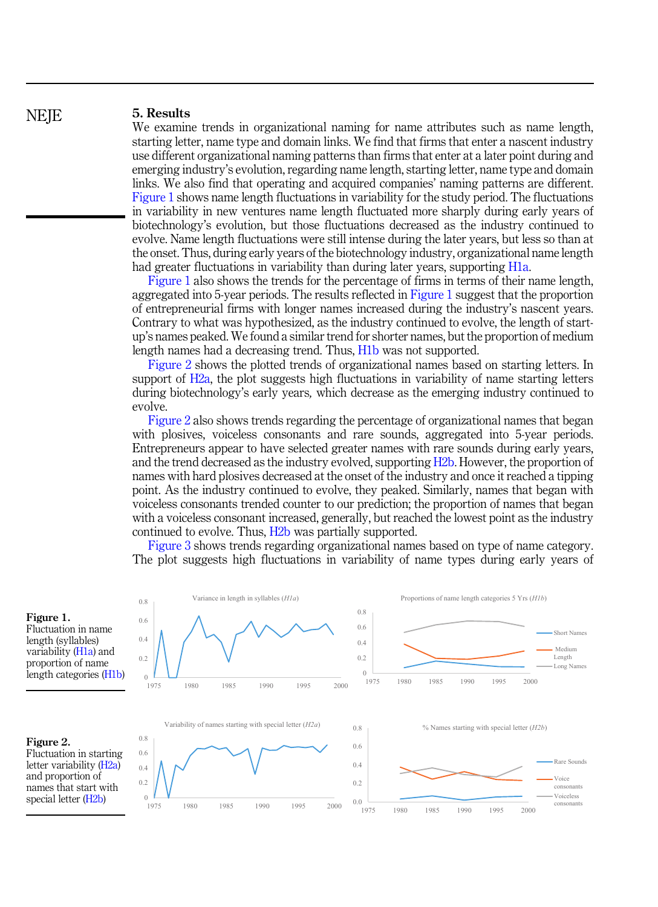#### 5. Results

We examine trends in organizational naming for name attributes such as name length, starting letter, name type and domain links. We find that firms that enter a nascent industry use different organizational naming patterns than firms that enter at a later point during and emerging industry's evolution, regarding name length, starting letter, name type and domain links. We also find that operating and acquired companies' naming patterns are different. Figure 1 shows name length fluctuations in variability for the study period. The fluctuations in variability in new ventures name length fluctuated more sharply during early years of biotechnology's evolution, but those fluctuations decreased as the industry continued to evolve. Name length fluctuations were still intense during the later years, but less so than at the onset. Thus, during early years of the biotechnology industry, organizational name length had greater fluctuations in variability than during later years, supporting [H1a.](#page-8-0)

Figure 1 also shows the trends for the percentage of firms in terms of their name length, aggregated into 5-year periods. The results reflected in Figure 1 suggest that the proportion of entrepreneurial firms with longer names increased during the industry's nascent years. Contrary to what was hypothesized, as the industry continued to evolve, the length of startup's names peaked. We found a similar trend for shorter names, but the proportion of medium length names had a decreasing trend. Thus, [H1b](#page-8-0) was not supported.

Figure 2 shows the plotted trends of organizational names based on starting letters. In support of [H2a,](#page-9-0) the plot suggests high fluctuations in variability of name starting letters during biotechnology's early years, which decrease as the emerging industry continued to evolve.

Figure 2 also shows trends regarding the percentage of organizational names that began with plosives, voiceless consonants and rare sounds, aggregated into 5-year periods. Entrepreneurs appear to have selected greater names with rare sounds during early years, and the trend decreased as the industry evolved, supporting [H2b.](#page-9-0) However, the proportion of names with hard plosives decreased at the onset of the industry and once it reached a tipping point. As the industry continued to evolve, they peaked. Similarly, names that began with voiceless consonants trended counter to our prediction; the proportion of names that began with a voiceless consonant increased, generally, but reached the lowest point as the industry continued to evolve. Thus, [H2b](#page-9-0) was partially supported.

[Figure 3](#page-16-0) shows trends regarding organizational names based on type of name category. The plot suggests high fluctuations in variability of name types during early years of



Figure 1. Fluctuation in name length (syllables) variability [\(H1a\)](#page-8-0) and proportion of name length categories [\(H1b\)](#page-8-0)



Fluctuation in starting letter variability (H<sub>2a</sub>) and proportion of names that start with special letter [\(H2b](#page-9-0))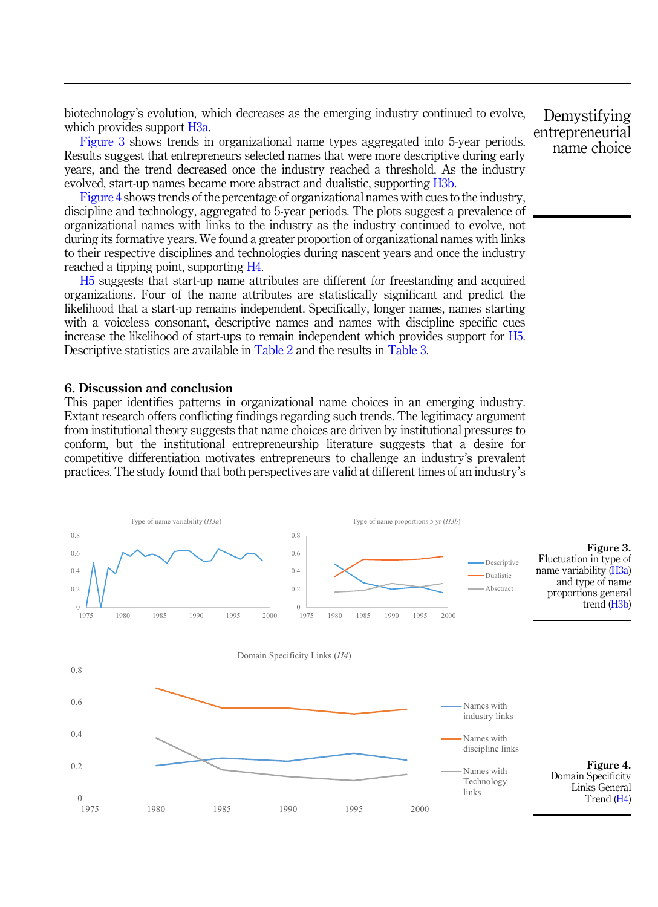<span id="page-16-0"></span>biotechnology's evolution, which decreases as the emerging industry continued to evolve, which provides support [H3a](#page-10-0).

Figure 3 shows trends in organizational name types aggregated into 5-year periods. Results suggest that entrepreneurs selected names that were more descriptive during early years, and the trend decreased once the industry reached a threshold. As the industry evolved, start-up names became more abstract and dualistic, supporting [H3b.](#page-10-0)

Figure 4 shows trends of the percentage of organizational names with cues to the industry, discipline and technology, aggregated to 5-year periods. The plots suggest a prevalence of organizational names with links to the industry as the industry continued to evolve, not during its formative years. We found a greater proportion of organizational names with links to their respective disciplines and technologies during nascent years and once the industry reached a tipping point, supporting [H4.](#page-12-0)

[H5](#page-12-0) suggests that start-up name attributes are different for freestanding and acquired organizations. Four of the name attributes are statistically significant and predict the likelihood that a start-up remains independent. Specifically, longer names, names starting with a voiceless consonant, descriptive names and names with discipline specific cues increase the likelihood of start-ups to remain independent which provides support for [H5](#page-12-0). Descriptive statistics are available in [Table 2](#page-17-0) and the results in [Table 3.](#page-17-0)

#### 6. Discussion and conclusion

This paper identifies patterns in organizational name choices in an emerging industry. Extant research offers conflicting findings regarding such trends. The legitimacy argument from institutional theory suggests that name choices are driven by institutional pressures to conform, but the institutional entrepreneurship literature suggests that a desire for competitive differentiation motivates entrepreneurs to challenge an industry's prevalent practices. The study found that both perspectives are valid at different times of an industry's

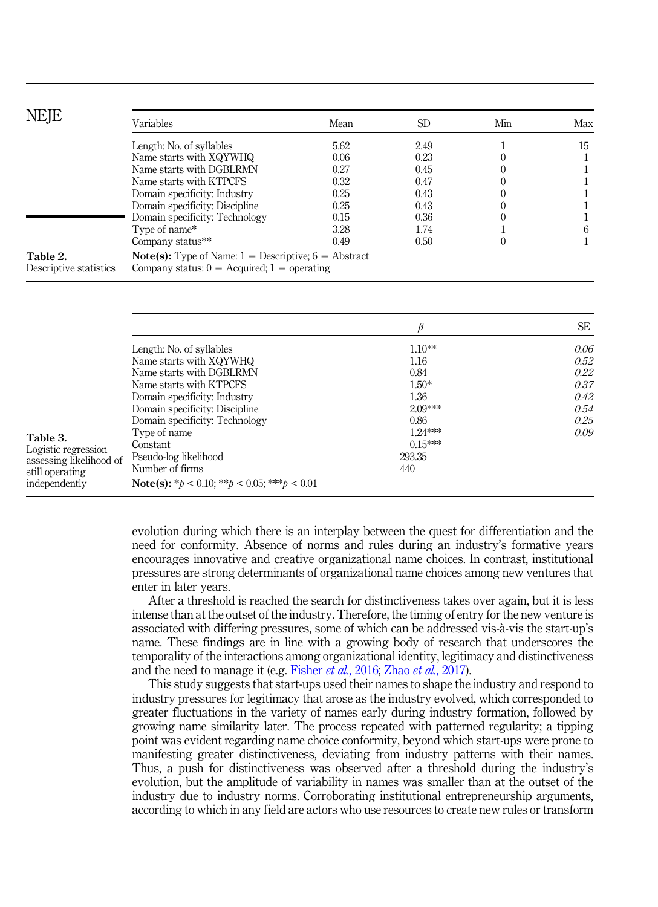<span id="page-17-0"></span>

| <b>NEJE</b>                        | Variables                                                                                                                         | Mean | <b>SD</b> | Min | Max |
|------------------------------------|-----------------------------------------------------------------------------------------------------------------------------------|------|-----------|-----|-----|
|                                    | Length: No. of syllables                                                                                                          | 5.62 | 2.49      |     | 15  |
|                                    | Name starts with XQYWHQ                                                                                                           | 0.06 | 0.23      |     |     |
|                                    | Name starts with DGBLRMN                                                                                                          | 0.27 | 0.45      |     |     |
|                                    | Name starts with KTPCFS                                                                                                           | 0.32 | 0.47      |     |     |
|                                    | Domain specificity: Industry                                                                                                      | 0.25 | 0.43      |     |     |
|                                    | Domain specificity: Discipline                                                                                                    | 0.25 | 0.43      |     |     |
|                                    | Domain specificity: Technology                                                                                                    | 0.15 | 0.36      |     |     |
|                                    | Type of name*                                                                                                                     | 3.28 | 1.74      |     | 6   |
|                                    | Company status**                                                                                                                  | 0.49 | 0.50      |     |     |
| Table 2.<br>Descriptive statistics | <b>Note(s):</b> Type of Name: $1 =$ Descriptive; $6 =$ Abstract<br>Company status: $0 = \text{Acquired}$ ; $1 = \text{operating}$ |      |           |     |     |

|                                                                                                |                                                                                                                                                                              |                                                          | <b>SE</b>                                    |
|------------------------------------------------------------------------------------------------|------------------------------------------------------------------------------------------------------------------------------------------------------------------------------|----------------------------------------------------------|----------------------------------------------|
|                                                                                                | Length: No. of syllables<br>Name starts with XQYWHQ<br>Name starts with DGBLRMN<br>Name starts with KTPCFS<br>Domain specificity: Industry<br>Domain specificity: Discipline | $1.10**$<br>1.16<br>0.84<br>$1.50*$<br>1.36<br>$2.09***$ | 0.06<br>0.52<br>0.22<br>0.37<br>0.42<br>0.54 |
| Table 3.<br>Logistic regression<br>assessing likelihood of<br>still operating<br>independently | Domain specificity: Technology<br>Type of name<br>Constant<br>Pseudo-log likelihood<br>Number of firms<br><b>Note(s):</b> * $b < 0.10$ ; ** $b < 0.05$ ; *** $b < 0.01$      | 0.86<br>$1.24***$<br>$0.15***$<br>293.35<br>440          | 0.25<br>0.09                                 |

evolution during which there is an interplay between the quest for differentiation and the need for conformity. Absence of norms and rules during an industry's formative years encourages innovative and creative organizational name choices. In contrast, institutional pressures are strong determinants of organizational name choices among new ventures that enter in later years.

After a threshold is reached the search for distinctiveness takes over again, but it is less intense than at the outset of the industry. Therefore, the timing of entry for the new venture is associated with differing pressures, some of which can be addressed vis-à-vis the start-up's name. These findings are in line with a growing body of research that underscores the temporality of the interactions among organizational identity, legitimacy and distinctiveness and the need to manage it (e.g. [Fisher](#page-21-0) et al., 2016; Zhao et al.[, 2017](#page-24-0)).

This study suggests that start-ups used their names to shape the industry and respond to industry pressures for legitimacy that arose as the industry evolved, which corresponded to greater fluctuations in the variety of names early during industry formation, followed by growing name similarity later. The process repeated with patterned regularity; a tipping point was evident regarding name choice conformity, beyond which start-ups were prone to manifesting greater distinctiveness, deviating from industry patterns with their names. Thus, a push for distinctiveness was observed after a threshold during the industry's evolution, but the amplitude of variability in names was smaller than at the outset of the industry due to industry norms. Corroborating institutional entrepreneurship arguments, according to which in any field are actors who use resources to create new rules or transform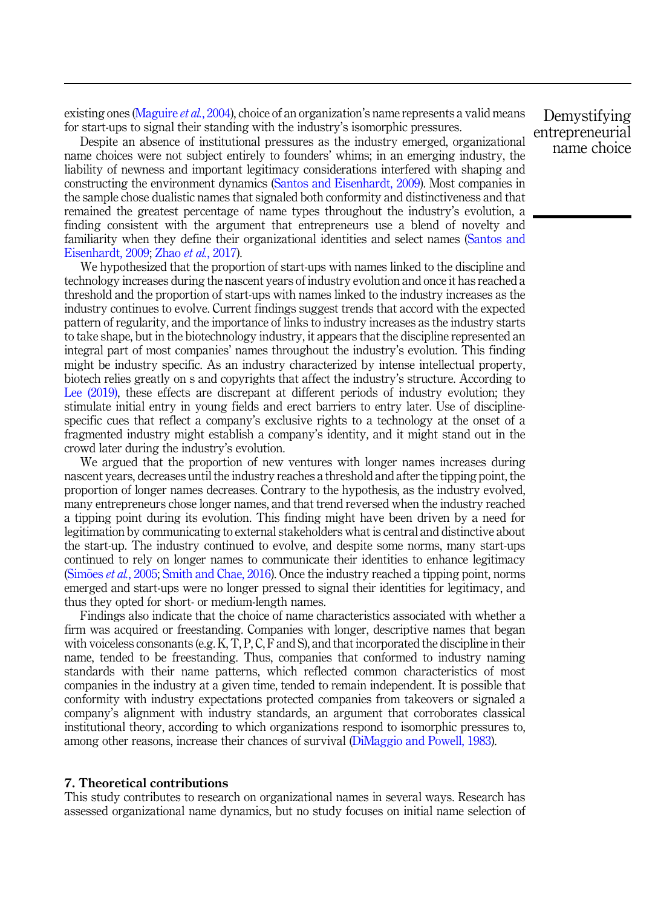existing ones ([Maguire](#page-23-0) *et al.*, 2004), choice of an organization's name represents a valid means for start-ups to signal their standing with the industry's isomorphic pressures.

Despite an absence of institutional pressures as the industry emerged, organizational name choices were not subject entirely to founders' whims; in an emerging industry, the liability of newness and important legitimacy considerations interfered with shaping and constructing the environment dynamics ([Santos and Eisenhardt, 2009](#page-23-0)). Most companies in the sample chose dualistic names that signaled both conformity and distinctiveness and that remained the greatest percentage of name types throughout the industry's evolution, a finding consistent with the argument that entrepreneurs use a blend of novelty and familiarity when they define their organizational identities and select names ([Santos and](#page-23-0) [Eisenhardt, 2009](#page-23-0); Zhao et al.[, 2017](#page-24-0)).

We hypothesized that the proportion of start-ups with names linked to the discipline and technology increases during the nascent years of industry evolution and once it has reached a threshold and the proportion of start-ups with names linked to the industry increases as the industry continues to evolve. Current findings suggest trends that accord with the expected pattern of regularity, and the importance of links to industry increases as the industry starts to take shape, but in the biotechnology industry, it appears that the discipline represented an integral part of most companies' names throughout the industry's evolution. This finding might be industry specific. As an industry characterized by intense intellectual property, biotech relies greatly on s and copyrights that affect the industry's structure. According to [Lee \(2019\)](#page-22-0), these effects are discrepant at different periods of industry evolution; they stimulate initial entry in young fields and erect barriers to entry later. Use of disciplinespecific cues that reflect a company's exclusive rights to a technology at the onset of a fragmented industry might establish a company's identity, and it might stand out in the crowd later during the industry's evolution.

We argued that the proportion of new ventures with longer names increases during nascent years, decreases until the industry reaches a threshold and after the tipping point, the proportion of longer names decreases. Contrary to the hypothesis, as the industry evolved, many entrepreneurs chose longer names, and that trend reversed when the industry reached a tipping point during its evolution. This finding might have been driven by a need for legitimation by communicating to external stakeholders what is central and distinctive about the start-up. The industry continued to evolve, and despite some norms, many start-ups continued to rely on longer names to communicate their identities to enhance legitimacy ([Sim](#page-24-0) $\tilde{\sigma}$ es *et al.*[, 2005](#page-24-0); [Smith and Chae, 2016](#page-24-0)). Once the industry reached a tipping point, norms emerged and start-ups were no longer pressed to signal their identities for legitimacy, and thus they opted for short- or medium-length names.

Findings also indicate that the choice of name characteristics associated with whether a firm was acquired or freestanding. Companies with longer, descriptive names that began with voiceless consonants (e.g. K, T, P, C, F and S), and that incorporated the discipline in their name, tended to be freestanding. Thus, companies that conformed to industry naming standards with their name patterns, which reflected common characteristics of most companies in the industry at a given time, tended to remain independent. It is possible that conformity with industry expectations protected companies from takeovers or signaled a company's alignment with industry standards, an argument that corroborates classical institutional theory, according to which organizations respond to isomorphic pressures to, among other reasons, increase their chances of survival [\(DiMaggio and Powell, 1983](#page-21-0)).

#### 7. Theoretical contributions

This study contributes to research on organizational names in several ways. Research has assessed organizational name dynamics, but no study focuses on initial name selection of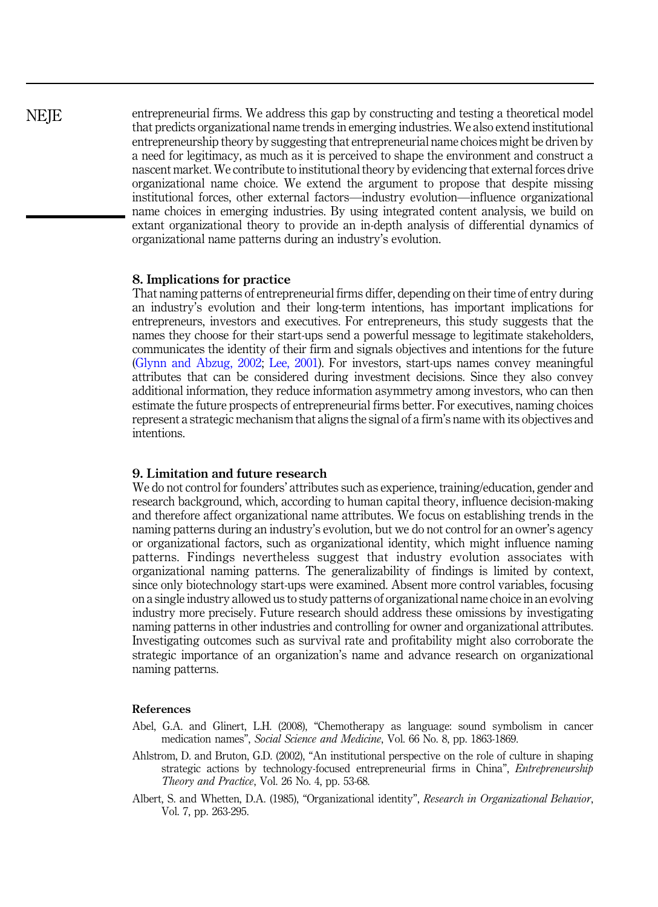<span id="page-19-0"></span>entrepreneurial firms. We address this gap by constructing and testing a theoretical model that predicts organizational name trends in emerging industries. We also extend institutional entrepreneurship theory by suggesting that entrepreneurial name choices might be driven by a need for legitimacy, as much as it is perceived to shape the environment and construct a nascent market. We contribute to institutional theory by evidencing that external forces drive organizational name choice. We extend the argument to propose that despite missing institutional forces, other external factors—industry evolution—influence organizational name choices in emerging industries. By using integrated content analysis, we build on extant organizational theory to provide an in-depth analysis of differential dynamics of organizational name patterns during an industry's evolution.

#### 8. Implications for practice

That naming patterns of entrepreneurial firms differ, depending on their time of entry during an industry's evolution and their long-term intentions, has important implications for entrepreneurs, investors and executives. For entrepreneurs, this study suggests that the names they choose for their start-ups send a powerful message to legitimate stakeholders, communicates the identity of their firm and signals objectives and intentions for the future ([Glynn and Abzug, 2002](#page-22-0); [Lee, 2001\)](#page-22-0). For investors, start-ups names convey meaningful attributes that can be considered during investment decisions. Since they also convey additional information, they reduce information asymmetry among investors, who can then estimate the future prospects of entrepreneurial firms better. For executives, naming choices represent a strategic mechanism that aligns the signal of a firm's name with its objectives and intentions.

#### 9. Limitation and future research

We do not control for founders' attributes such as experience, training/education, gender and research background, which, according to human capital theory, influence decision-making and therefore affect organizational name attributes. We focus on establishing trends in the naming patterns during an industry's evolution, but we do not control for an owner's agency or organizational factors, such as organizational identity, which might influence naming patterns. Findings nevertheless suggest that industry evolution associates with organizational naming patterns. The generalizability of findings is limited by context, since only biotechnology start-ups were examined. Absent more control variables, focusing on a single industry allowed us to study patterns of organizational name choice in an evolving industry more precisely. Future research should address these omissions by investigating naming patterns in other industries and controlling for owner and organizational attributes. Investigating outcomes such as survival rate and profitability might also corroborate the strategic importance of an organization's name and advance research on organizational naming patterns.

#### References

- Abel, G.A. and Glinert, L.H. (2008), "Chemotherapy as language: sound symbolism in cancer medication names", Social Science and Medicine, Vol. 66 No. 8, pp. 1863-1869.
- Ahlstrom, D. and Bruton, G.D. (2002), "An institutional perspective on the role of culture in shaping strategic actions by technology-focused entrepreneurial firms in China", Entrepreneurship Theory and Practice, Vol. 26 No. 4, pp. 53-68.
- Albert, S. and Whetten, D.A. (1985), "Organizational identity", Research in Organizational Behavior, Vol. 7, pp. 263-295.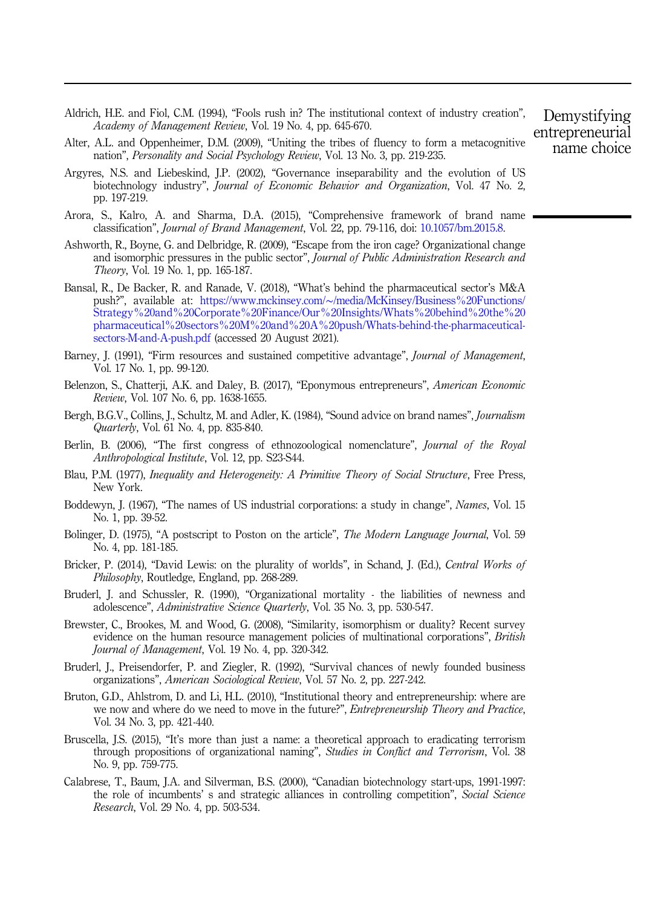- <span id="page-20-0"></span>Aldrich, H.E. and Fiol, C.M. (1994), "Fools rush in? The institutional context of industry creation", Academy of Management Review, Vol. 19 No. 4, pp. 645-670.
- Alter, A.L. and Oppenheimer, D.M. (2009), "Uniting the tribes of fluency to form a metacognitive nation", Personality and Social Psychology Review, Vol. 13 No. 3, pp. 219-235.
- Argyres, N.S. and Liebeskind, J.P. (2002), "Governance inseparability and the evolution of US biotechnology industry", Journal of Economic Behavior and Organization, Vol. 47 No. 2, pp. 197-219.
- Arora, S., Kalro, A. and Sharma, D.A. (2015), "Comprehensive framework of brand name classification", Journal of Brand Management, Vol. 22, pp. 79-116, doi: [10.1057/bm.2015.8](https://doi.org/10.1057/bm.2015.8).
- Ashworth, R., Boyne, G. and Delbridge, R. (2009), "Escape from the iron cage? Organizational change and isomorphic pressures in the public sector", Journal of Public Administration Research and Theory, Vol. 19 No. 1, pp. 165-187.
- Bansal, R., De Backer, R. and Ranade, V. (2018), "What's behind the pharmaceutical sector's M&A push?", available at: https://www.mckinsey.com/∼[/media/McKinsey/Business%20Functions/](https://www.mckinsey.com/~/media/McKinsey/Business%20Functions/Strategy%20and%20Corporate%20Finance/Our%20Insights/Whats%20behind%20the%20pharmaceutical%20sectors%20M%20and%20A%20push/Whats-behind-the-pharmaceutical-sectors-M-and-A-push.pdf) [Strategy%20and%20Corporate%20Finance/Our%20Insights/Whats%20behind%20the%20](https://www.mckinsey.com/~/media/McKinsey/Business%20Functions/Strategy%20and%20Corporate%20Finance/Our%20Insights/Whats%20behind%20the%20pharmaceutical%20sectors%20M%20and%20A%20push/Whats-behind-the-pharmaceutical-sectors-M-and-A-push.pdf) [pharmaceutical%20sectors%20M%20and%20A%20push/Whats-behind-the-pharmaceutical](https://www.mckinsey.com/~/media/McKinsey/Business%20Functions/Strategy%20and%20Corporate%20Finance/Our%20Insights/Whats%20behind%20the%20pharmaceutical%20sectors%20M%20and%20A%20push/Whats-behind-the-pharmaceutical-sectors-M-and-A-push.pdf)[sectors-M-and-A-push.pdf](https://www.mckinsey.com/~/media/McKinsey/Business%20Functions/Strategy%20and%20Corporate%20Finance/Our%20Insights/Whats%20behind%20the%20pharmaceutical%20sectors%20M%20and%20A%20push/Whats-behind-the-pharmaceutical-sectors-M-and-A-push.pdf) (accessed 20 August 2021).
- Barney, J. (1991), "Firm resources and sustained competitive advantage", *Journal of Management*, Vol. 17 No. 1, pp. 99-120.
- Belenzon, S., Chatterji, A.K. and Daley, B. (2017), "Eponymous entrepreneurs", American Economic Review, Vol. 107 No. 6, pp. 1638-1655.
- Bergh, B.G.V., Collins, J., Schultz, M. and Adler, K. (1984), "Sound advice on brand names", *Journalism* Quarterly, Vol. 61 No. 4, pp. 835-840.
- Berlin, B. (2006), "The first congress of ethnozoological nomenclature", Journal of the Royal Anthropological Institute, Vol. 12, pp. S23-S44.
- Blau, P.M. (1977), Inequality and Heterogeneity: A Primitive Theory of Social Structure, Free Press, New York.
- Boddewyn, J. (1967), "The names of US industrial corporations: a study in change", Names, Vol. 15 No. 1, pp. 39-52.
- Bolinger, D. (1975), "A postscript to Poston on the article", *The Modern Language Journal*, Vol. 59 No. 4, pp. 181-185.
- Bricker, P. (2014), "David Lewis: on the plurality of worlds", in Schand, J. (Ed.), Central Works of Philosophy, Routledge, England, pp. 268-289.
- Bruderl, J. and Schussler, R. (1990), "Organizational mortality the liabilities of newness and adolescence", Administrative Science Quarterly, Vol. 35 No. 3, pp. 530-547.
- Brewster, C., Brookes, M. and Wood, G. (2008), "Similarity, isomorphism or duality? Recent survey evidence on the human resource management policies of multinational corporations", *British* Journal of Management, Vol. 19 No. 4, pp. 320-342.
- Bruderl, J., Preisendorfer, P. and Ziegler, R. (1992), "Survival chances of newly founded business organizations", American Sociological Review, Vol. 57 No. 2, pp. 227-242.
- Bruton, G.D., Ahlstrom, D. and Li, H.L. (2010), "Institutional theory and entrepreneurship: where are we now and where do we need to move in the future?", *Entrepreneurship Theory and Practice*, Vol. 34 No. 3, pp. 421-440.
- Bruscella, J.S. (2015), "It's more than just a name: a theoretical approach to eradicating terrorism through propositions of organizational naming", Studies in Conflict and Terrorism, Vol. 38 No. 9, pp. 759-775.
- Calabrese, T., Baum, J.A. and Silverman, B.S. (2000), "Canadian biotechnology start-ups, 1991-1997: the role of incumbents' s and strategic alliances in controlling competition", *Social Science* Research, Vol. 29 No. 4, pp. 503-534.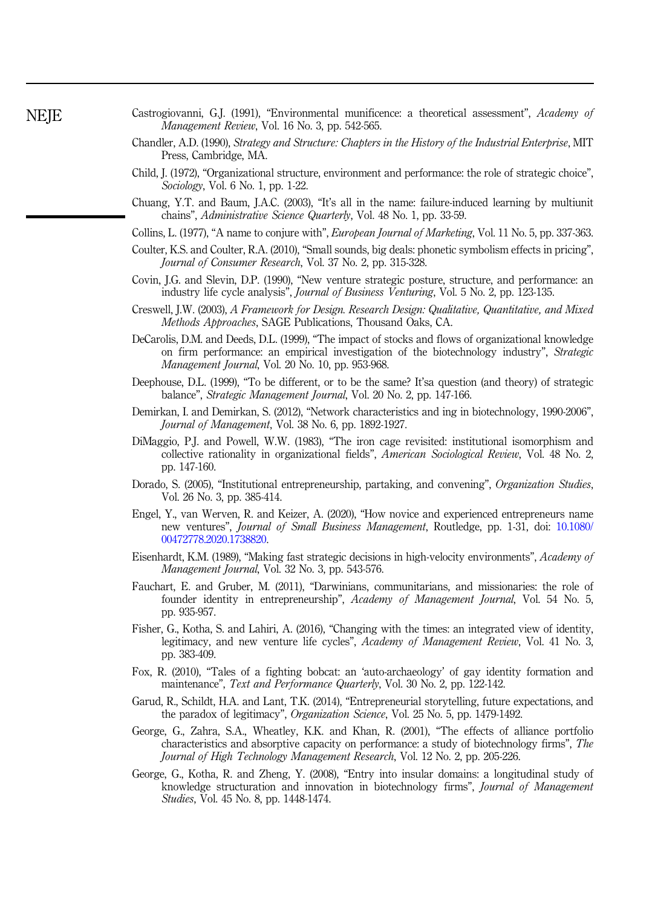- Castrogiovanni, G.J. (1991), "Environmental munificence: a theoretical assessment", Academy of Management Review, Vol. 16 No. 3, pp. 542-565.
- Chandler, A.D. (1990), Strategy and Structure: Chapters in the History of the Industrial Enterprise, MIT Press, Cambridge, MA.
- Child, J. (1972), "Organizational structure, environment and performance: the role of strategic choice", Sociology, Vol. 6 No. 1, pp. 1-22.
- Chuang, Y.T. and Baum, J.A.C. (2003), "It's all in the name: failure-induced learning by multiunit chains", Administrative Science Quarterly, Vol. 48 No. 1, pp. 33-59.
- Collins, L. (1977), "A name to conjure with", European Journal of Marketing, Vol. 11 No. 5, pp. 337-363.
- Coulter, K.S. and Coulter, R.A. (2010), "Small sounds, big deals: phonetic symbolism effects in pricing", Journal of Consumer Research, Vol. 37 No. 2, pp. 315-328.
- Covin, J.G. and Slevin, D.P. (1990), "New venture strategic posture, structure, and performance: an industry life cycle analysis", Journal of Business Venturing, Vol. 5 No. 2, pp. 123-135.
- Creswell, J.W. (2003), A Framework for Design. Research Design: Qualitative, Quantitative, and Mixed Methods Approaches, SAGE Publications, Thousand Oaks, CA.
- DeCarolis, D.M. and Deeds, D.L. (1999), "The impact of stocks and flows of organizational knowledge on firm performance: an empirical investigation of the biotechnology industry", Strategic Management Journal, Vol. 20 No. 10, pp. 953-968.
- Deephouse, D.L. (1999), "To be different, or to be the same? It'sa question (and theory) of strategic balance", Strategic Management Journal, Vol. 20 No. 2, pp. 147-166.
- Demirkan, I. and Demirkan, S. (2012), "Network characteristics and ing in biotechnology, 1990-2006", Journal of Management, Vol. 38 No. 6, pp. 1892-1927.
- DiMaggio, P.J. and Powell, W.W. (1983), "The iron cage revisited: institutional isomorphism and collective rationality in organizational fields", American Sociological Review, Vol. 48 No. 2, pp. 147-160.
- Dorado, S. (2005), "Institutional entrepreneurship, partaking, and convening", Organization Studies, Vol. 26 No. 3, pp. 385-414.
- Engel, Y., van Werven, R. and Keizer, A. (2020), "How novice and experienced entrepreneurs name new ventures", Journal of Small Business Management, Routledge, pp. 1-31, doi: [10.1080/](https://doi.org/10.1080/00472778.2020.1738820) [00472778.2020.1738820.](https://doi.org/10.1080/00472778.2020.1738820)
- Eisenhardt, K.M. (1989), "Making fast strategic decisions in high-velocity environments", Academy of Management Journal, Vol. 32 No. 3, pp. 543-576.
- Fauchart, E. and Gruber, M. (2011), "Darwinians, communitarians, and missionaries: the role of founder identity in entrepreneurship", Academy of Management Journal, Vol. 54 No. 5, pp. 935-957.
- Fisher, G., Kotha, S. and Lahiri, A. (2016), "Changing with the times: an integrated view of identity, legitimacy, and new venture life cycles", Academy of Management Review, Vol. 41 No. 3, pp. 383-409.
- Fox, R. (2010), "Tales of a fighting bobcat: an 'auto-archaeology' of gay identity formation and maintenance", Text and Performance Quarterly, Vol. 30 No. 2, pp. 122-142.
- Garud, R., Schildt, H.A. and Lant, T.K. (2014), "Entrepreneurial storytelling, future expectations, and the paradox of legitimacy", Organization Science, Vol. 25 No. 5, pp. 1479-1492.
- George, G., Zahra, S.A., Wheatley, K.K. and Khan, R. (2001), "The effects of alliance portfolio characteristics and absorptive capacity on performance: a study of biotechnology firms", The Journal of High Technology Management Research, Vol. 12 No. 2, pp. 205-226.
- George, G., Kotha, R. and Zheng, Y. (2008), "Entry into insular domains: a longitudinal study of knowledge structuration and innovation in biotechnology firms", Journal of Management Studies, Vol. 45 No. 8, pp. 1448-1474.

<span id="page-21-0"></span>**NEIE**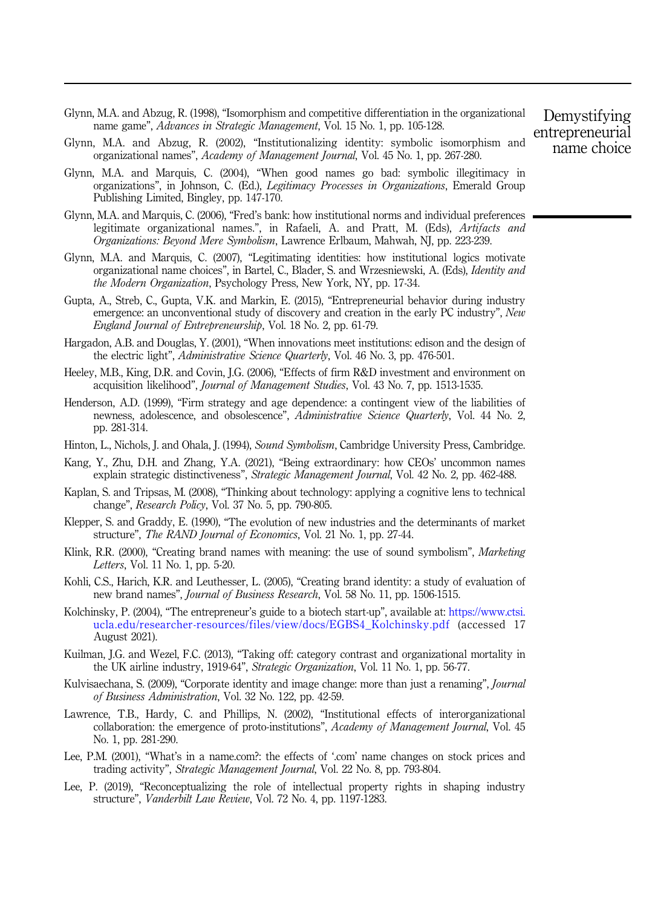- <span id="page-22-0"></span>Glynn, M.A. and Abzug, R. (1998), "Isomorphism and competitive differentiation in the organizational name game", Advances in Strategic Management, Vol. 15 No. 1, pp. 105-128.
- Glynn, M.A. and Abzug, R. (2002), "Institutionalizing identity: symbolic isomorphism and organizational names", Academy of Management Journal, Vol. 45 No. 1, pp. 267-280.
- Glynn, M.A. and Marquis, C. (2004), "When good names go bad: symbolic illegitimacy in organizations", in Johnson, C. (Ed.), Legitimacy Processes in Organizations, Emerald Group Publishing Limited, Bingley, pp. 147-170.
- Glynn, M.A. and Marquis, C. (2006), "Fred's bank: how institutional norms and individual preferences legitimate organizational names.", in Rafaeli, A. and Pratt, M. (Eds), Artifacts and Organizations: Beyond Mere Symbolism, Lawrence Erlbaum, Mahwah, NJ, pp. 223-239.
- Glynn, M.A. and Marquis, C. (2007), "Legitimating identities: how institutional logics motivate organizational name choices", in Bartel, C., Blader, S. and Wrzesniewski, A. (Eds), Identity and the Modern Organization, Psychology Press, New York, NY, pp. 17-34.
- Gupta, A., Streb, C., Gupta, V.K. and Markin, E. (2015), "Entrepreneurial behavior during industry emergence: an unconventional study of discovery and creation in the early PC industry", New England Journal of Entrepreneurship, Vol. 18 No. 2, pp. 61-79.
- Hargadon, A.B. and Douglas, Y. (2001), "When innovations meet institutions: edison and the design of the electric light", *Administrative Science Quarterly*, Vol. 46 No. 3, pp. 476-501.
- Heeley, M.B., King, D.R. and Covin, J.G. (2006), "Effects of firm R&D investment and environment on acquisition likelihood", Journal of Management Studies, Vol. 43 No. 7, pp. 1513-1535.
- Henderson, A.D. (1999), "Firm strategy and age dependence: a contingent view of the liabilities of newness, adolescence, and obsolescence", Administrative Science Quarterly, Vol. 44 No. 2, pp. 281-314.
- Hinton, L., Nichols, J. and Ohala, J. (1994), Sound Symbolism, Cambridge University Press, Cambridge.
- Kang, Y., Zhu, D.H. and Zhang, Y.A. (2021), "Being extraordinary: how CEOs' uncommon names explain strategic distinctiveness", Strategic Management Journal, Vol. 42 No. 2, pp. 462-488.
- Kaplan, S. and Tripsas, M. (2008), "Thinking about technology: applying a cognitive lens to technical change", Research Policy, Vol. 37 No. 5, pp. 790-805.
- Klepper, S. and Graddy, E. (1990), "The evolution of new industries and the determinants of market structure", The RAND Journal of Economics, Vol. 21 No. 1, pp. 27-44.
- Klink, R.R. (2000), "Creating brand names with meaning: the use of sound symbolism", Marketing Letters, Vol. 11 No. 1, pp. 5-20.
- Kohli, C.S., Harich, K.R. and Leuthesser, L. (2005), "Creating brand identity: a study of evaluation of new brand names", Journal of Business Research, Vol. 58 No. 11, pp. 1506-1515.
- Kolchinsky, P. (2004), "The entrepreneur's guide to a biotech start-up", available at: [https://www.ctsi.](https://www.ctsi.ucla.edu/researcher-resources/files/view/docs/EGBS4_Kolchinsky.pdf) [ucla.edu/researcher-resources/files/view/docs/EGBS4\\_Kolchinsky.pdf](https://www.ctsi.ucla.edu/researcher-resources/files/view/docs/EGBS4_Kolchinsky.pdf) (accessed 17 August 2021).
- Kuilman, J.G. and Wezel, F.C. (2013), "Taking off: category contrast and organizational mortality in the UK airline industry, 1919-64", Strategic Organization, Vol. 11 No. 1, pp. 56-77.
- Kulvisaechana, S. (2009), "Corporate identity and image change: more than just a renaming", *Journal* of Business Administration, Vol. 32 No. 122, pp. 42-59.
- Lawrence, T.B., Hardy, C. and Phillips, N. (2002), "Institutional effects of interorganizational collaboration: the emergence of proto-institutions", Academy of Management Journal, Vol. 45 No. 1, pp. 281-290.
- Lee, P.M. (2001), "What's in a name.com?: the effects of '.com' name changes on stock prices and trading activity", Strategic Management Journal, Vol. 22 No. 8, pp. 793-804.
- Lee, P. (2019), "Reconceptualizing the role of intellectual property rights in shaping industry structure", Vanderbilt Law Review, Vol. 72 No. 4, pp. 1197-1283.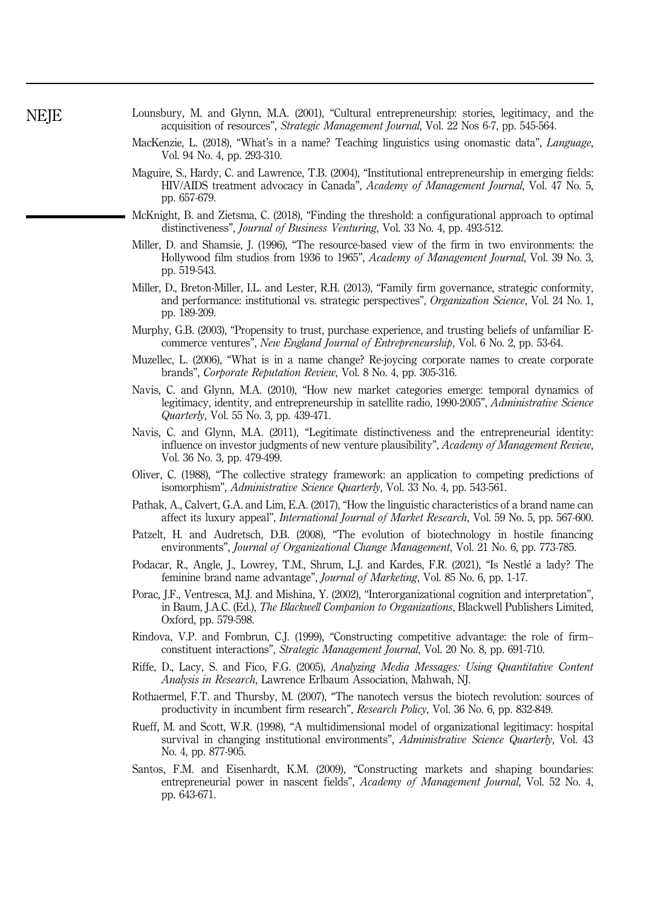- <span id="page-23-0"></span>Lounsbury, M. and Glynn, M.A. (2001), "Cultural entrepreneurship: stories, legitimacy, and the acquisition of resources", Strategic Management Journal, Vol. 22 Nos 6-7, pp. 545-564.
- MacKenzie, L. (2018), "What's in a name? Teaching linguistics using onomastic data", *Language*, Vol. 94 No. 4, pp. 293-310.
- Maguire, S., Hardy, C. and Lawrence, T.B. (2004), "Institutional entrepreneurship in emerging fields: HIV/AIDS treatment advocacy in Canada", Academy of Management Journal, Vol. 47 No. 5, pp. 657-679.
- McKnight, B. and Zietsma, C. (2018), "Finding the threshold: a configurational approach to optimal distinctiveness", Journal of Business Venturing, Vol. 33 No. 4, pp. 493-512.
- Miller, D. and Shamsie, J. (1996), "The resource-based view of the firm in two environments: the Hollywood film studios from 1936 to 1965", Academy of Management Journal, Vol. 39 No. 3, pp. 519-543.
- Miller, D., Breton-Miller, I.L. and Lester, R.H. (2013), "Family firm governance, strategic conformity, and performance: institutional vs. strategic perspectives", Organization Science, Vol. 24 No. 1, pp. 189-209.
- Murphy, G.B. (2003), "Propensity to trust, purchase experience, and trusting beliefs of unfamiliar Ecommerce ventures", New England Journal of Entrepreneurship, Vol. 6 No. 2, pp. 53-64.
- Muzellec, L. (2006), "What is in a name change? Re-joycing corporate names to create corporate brands", Corporate Reputation Review, Vol. 8 No. 4, pp. 305-316.
- Navis, C. and Glynn, M.A. (2010), "How new market categories emerge: temporal dynamics of legitimacy, identity, and entrepreneurship in satellite radio, 1990-2005", Administrative Science Quarterly, Vol. 55 No. 3, pp. 439-471.
- Navis, C. and Glynn, M.A. (2011), "Legitimate distinctiveness and the entrepreneurial identity: influence on investor judgments of new venture plausibility", Academy of Management Review, Vol. 36 No. 3, pp. 479-499.
- Oliver, C. (1988), "The collective strategy framework: an application to competing predictions of isomorphism", Administrative Science Quarterly, Vol. 33 No. 4, pp. 543-561.
- Pathak, A., Calvert, G.A. and Lim, E.A. (2017), "How the linguistic characteristics of a brand name can affect its luxury appeal", International Journal of Market Research, Vol. 59 No. 5, pp. 567-600.
- Patzelt, H. and Audretsch, D.B. (2008), "The evolution of biotechnology in hostile financing environments", *Journal of Organizational Change Management*, Vol. 21 No. 6, pp. 773-785.
- Podacar, R., Angle, J., Lowrey, T.M., Shrum, L.J. and Kardes, F.R. (2021), "Is Nestle a lady? The feminine brand name advantage", Journal of Marketing, Vol. 85 No. 6, pp. 1-17.
- Porac, J.F., Ventresca, M.J. and Mishina, Y. (2002), "Interorganizational cognition and interpretation", in Baum, J.A.C. (Ed.), *The Blackwell Companion to Organizations*, Blackwell Publishers Limited, Oxford, pp. 579-598.
- Rindova, V.P. and Fombrun, C.J. (1999), "Constructing competitive advantage: the role of firm– constituent interactions", Strategic Management Journal, Vol. 20 No. 8, pp. 691-710.
- Riffe, D., Lacy, S. and Fico, F.G. (2005), Analyzing Media Messages: Using Quantitative Content Analysis in Research, Lawrence Erlbaum Association, Mahwah, NJ.
- Rothaermel, F.T. and Thursby, M. (2007), "The nanotech versus the biotech revolution: sources of productivity in incumbent firm research", Research Policy, Vol. 36 No. 6, pp. 832-849.
- Rueff, M. and Scott, W.R. (1998), "A multidimensional model of organizational legitimacy: hospital survival in changing institutional environments", Administrative Science Quarterly, Vol. 43 No. 4, pp. 877-905.
- Santos, F.M. and Eisenhardt, K.M. (2009), "Constructing markets and shaping boundaries: entrepreneurial power in nascent fields", Academy of Management Journal, Vol. 52 No. 4, pp. 643-671.